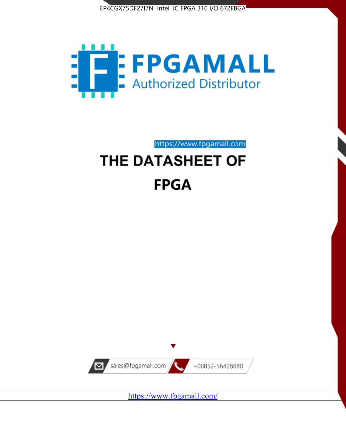



https://www.fpgamall.com

# THE DATASHEET OF **FPGA**



<https://www.fpgamall.com/>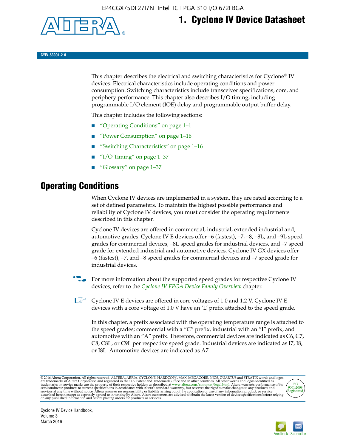

# **1. Cyclone IV Device Datasheet**

**CYIV-53001-2.0**

This chapter describes the electrical and switching characteristics for Cyclone<sup>®</sup> IV devices. Electrical characteristics include operating conditions and power consumption. Switching characteristics include transceiver specifications, core, and periphery performance. This chapter also describes I/O timing, including programmable I/O element (IOE) delay and programmable output buffer delay.

This chapter includes the following sections:

- "Operating Conditions" on page 1–1
- "Power Consumption" on page 1–16
- "Switching Characteristics" on page 1–16
- " $I/O$  Timing" on page  $1-37$
- "Glossary" on page 1–37

# **Operating Conditions**

When Cyclone IV devices are implemented in a system, they are rated according to a set of defined parameters. To maintain the highest possible performance and reliability of Cyclone IV devices, you must consider the operating requirements described in this chapter.

Cyclone IV devices are offered in commercial, industrial, extended industrial and, automotive grades. Cyclone IV E devices offer –6 (fastest), –7, –8, –8L, and –9L speed grades for commercial devices, –8L speed grades for industrial devices, and –7 speed grade for extended industrial and automotive devices. Cyclone IV GX devices offer –6 (fastest), –7, and –8 speed grades for commercial devices and –7 speed grade for industrial devices.

**For more information about the supported speed grades for respective Cyclone IV** devices, refer to the *[Cyclone IV FPGA Device Family Overview](http://www.altera.com/literature/hb/cyclone-iv/cyiv-51001.pdf)* chapter.

**1** Cyclone IV E devices are offered in core voltages of 1.0 and 1.2 V. Cyclone IV E devices with a core voltage of 1.0 V have an 'L' prefix attached to the speed grade.

In this chapter, a prefix associated with the operating temperature range is attached to the speed grades; commercial with a "C" prefix, industrial with an "I" prefix, and automotive with an "A" prefix. Therefore, commercial devices are indicated as C6, C7, C8, C8L, or C9L per respective speed grade. Industrial devices are indicated as I7, I8, or I8L. Automotive devices are indicated as A7.

@2016 Altera Corporation. All rights reserved. ALTERA, ARRIA, CYCLONE, HARDCOPY, MAX, MEGACORE, NIOS, QUARTUS and STRATIX words and logos are trademarks of Altera Corporation and registered in the U.S. Patent and Trademark



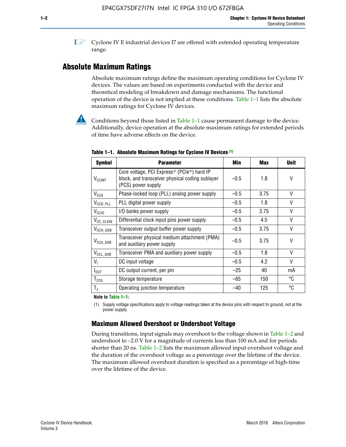**1 Cyclone IV E industrial devices I7 are offered with extended operating temperature** range.

# **Absolute Maximum Ratings**

Absolute maximum ratings define the maximum operating conditions for Cyclone IV devices. The values are based on experiments conducted with the device and theoretical modeling of breakdown and damage mechanisms. The functional operation of the device is not implied at these conditions. Table 1–1 lists the absolute maximum ratings for Cyclone IV devices.



**Conditions beyond those listed in Table 1–1 cause permanent damage to the device.** Additionally, device operation at the absolute maximum ratings for extended periods of time have adverse effects on the device.

| <b>Symbol</b>            | <b>Parameter</b>                                                                                                                             | Min    | <b>Max</b> | <b>Unit</b> |
|--------------------------|----------------------------------------------------------------------------------------------------------------------------------------------|--------|------------|-------------|
| <b>V<sub>CCINT</sub></b> | Core voltage, PCI Express <sup>®</sup> (PCIe <sup>®</sup> ) hard IP<br>block, and transceiver physical coding sublayer<br>(PCS) power supply | $-0.5$ | 1.8        | V           |
| $V_{CCA}$                | Phase-locked loop (PLL) analog power supply                                                                                                  | $-0.5$ | 3.75       | V           |
| $V_{CCD\_PLL}$           | PLL digital power supply                                                                                                                     | $-0.5$ | 1.8        | V           |
| V <sub>CCIO</sub>        | I/O banks power supply                                                                                                                       | $-0.5$ | 3.75       | V           |
| V <sub>CC_CLKIN</sub>    | Differential clock input pins power supply                                                                                                   | $-0.5$ | 4.5        | V           |
| $V_{\text{CCH_GXB}}$     | Transceiver output buffer power supply                                                                                                       | $-0.5$ | 3.75       | V           |
| $V_{\text{CCA\_GXB}}$    | Transceiver physical medium attachment (PMA)<br>and auxiliary power supply                                                                   | $-0.5$ | 3.75       | V           |
| $V_{CCL_GXB}$            | Transceiver PMA and auxiliary power supply                                                                                                   | $-0.5$ | 1.8        | V           |
| $V_{1}$                  | DC input voltage                                                                                                                             | $-0.5$ | 4.2        | V           |
| $I_{\text{OUT}}$         | DC output current, per pin                                                                                                                   | $-25$  | 40         | mA          |
| $T_{\mathtt{STG}}$       | Storage temperature                                                                                                                          | -65    | 150        | °C          |
| $T_{\rm J}$              | Operating junction temperature                                                                                                               | $-40$  | 125        | °C          |

**Table 1–1. Absolute Maximum Ratings for Cyclone IV Devices** *(1)*

**Note to Table 1–1:**

(1) Supply voltage specifications apply to voltage readings taken at the device pins with respect to ground, not at the power supply.

# **Maximum Allowed Overshoot or Undershoot Voltage**

During transitions, input signals may overshoot to the voltage shown in Table 1–2 and undershoot to –2.0 V for a magnitude of currents less than 100 mA and for periods shorter than 20 ns. Table 1–2 lists the maximum allowed input overshoot voltage and the duration of the overshoot voltage as a percentage over the lifetime of the device. The maximum allowed overshoot duration is specified as a percentage of high-time over the lifetime of the device.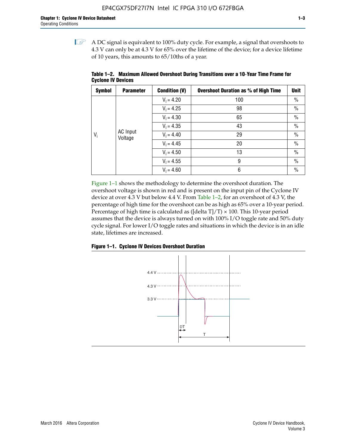$\mathbb{I}$  A DC signal is equivalent to 100% duty cycle. For example, a signal that overshoots to 4.3 V can only be at 4.3 V for 65% over the lifetime of the device; for a device lifetime of 10 years, this amounts to 65/10ths of a year.

| <b>Symbol</b> | <b>Parameter</b>    | <b>Condition (V)</b> | <b>Overshoot Duration as % of High Time</b> | <b>Unit</b>   |      |  |              |
|---------------|---------------------|----------------------|---------------------------------------------|---------------|------|--|--------------|
|               |                     | $V_1 = 4.20$         | 100                                         | $\%$          |      |  |              |
|               |                     | $V_1 = 4.25$         | 98                                          | $\%$          |      |  |              |
|               | AC Input<br>Voltage |                      | $V_1 = 4.30$                                | 65            | $\%$ |  |              |
| $V_i$         |                     | $V_1 = 4.35$         | 43                                          | $\frac{0}{0}$ |      |  |              |
|               |                     |                      |                                             |               |      |  | $V_1 = 4.40$ |
|               |                     | $V_1 = 4.45$         | 20                                          | $\%$          |      |  |              |
|               |                     | $V_1 = 4.50$         | 13                                          | $\%$          |      |  |              |
|               |                     | $V_1 = 4.55$         | 9                                           | $\%$          |      |  |              |
|               |                     | $V_1 = 4.60$         | 6                                           | $\%$          |      |  |              |

**Table 1–2. Maximum Allowed Overshoot During Transitions over a 10**-**Year Time Frame for Cyclone IV Devices**

Figure 1–1 shows the methodology to determine the overshoot duration. The overshoot voltage is shown in red and is present on the input pin of the Cyclone IV device at over 4.3 V but below 4.4 V. From Table 1–2, for an overshoot of 4.3 V, the percentage of high time for the overshoot can be as high as 65% over a 10-year period. Percentage of high time is calculated as ([delta  $T$ ]/T)  $\times$  100. This 10-year period assumes that the device is always turned on with 100% I/O toggle rate and 50% duty cycle signal. For lower I/O toggle rates and situations in which the device is in an idle state, lifetimes are increased.



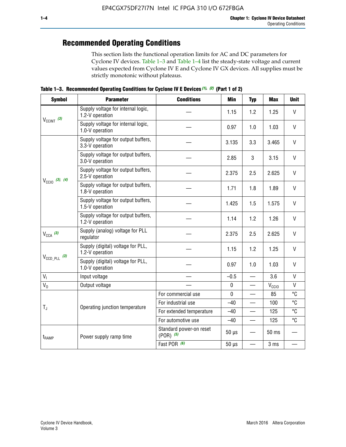# **Recommended Operating Conditions**

This section lists the functional operation limits for AC and DC parameters for Cyclone IV devices. Table 1–3 and Table 1–4 list the steady-state voltage and current values expected from Cyclone IV E and Cyclone IV GX devices. All supplies must be strictly monotonic without plateaus.

**Table 1–3. Recommended Operating Conditions for Cyclone IV E Devices** *(1)***,** *(2)* **(Part 1 of 2)**

| <b>Symbol</b>                                                                                                                         | <b>Parameter</b>                                      | <b>Conditions</b>                        | <b>Min</b>  | <b>Typ</b>               | <b>Max</b>     | <b>Unit</b>  |
|---------------------------------------------------------------------------------------------------------------------------------------|-------------------------------------------------------|------------------------------------------|-------------|--------------------------|----------------|--------------|
|                                                                                                                                       | Supply voltage for internal logic,<br>1.2-V operation |                                          | 1.15        | 1.2                      | 1.25           | $\mathsf{V}$ |
|                                                                                                                                       | Supply voltage for internal logic,<br>1.0-V operation |                                          | 0.97        | 1.0                      | 1.03           | $\mathsf{V}$ |
|                                                                                                                                       | Supply voltage for output buffers,<br>3.3-V operation |                                          | 3.135       | 3.3                      | 3.465          | $\vee$       |
| $V_{CClNT}$ (3)<br>$V_{\text{CC10}}$ (3), (4)<br>$V_{CCA}$ (3)<br>$V_{\text{CCD\_PLL}}$ (3)<br>V <sub>1</sub><br>$V_0$<br>$T_{\rm J}$ | Supply voltage for output buffers,<br>3.0-V operation |                                          | 2.85        | 3                        | 3.15           | V            |
|                                                                                                                                       | Supply voltage for output buffers,<br>2.5-V operation |                                          | 2.375       | 2.5                      | 2.625          | $\vee$       |
|                                                                                                                                       | Supply voltage for output buffers,<br>1.8-V operation |                                          | 1.71        | 1.8                      | 1.89           | V            |
|                                                                                                                                       | Supply voltage for output buffers,<br>1.5-V operation |                                          | 1.425       | 1.5                      | 1.575          | $\vee$       |
|                                                                                                                                       | Supply voltage for output buffers,<br>1.2-V operation |                                          | 1.14        | 1.2                      | 1.26           | $\mathsf{V}$ |
|                                                                                                                                       | Supply (analog) voltage for PLL<br>regulator          |                                          | 2.375       | 2.5                      | 2.625          | $\vee$       |
|                                                                                                                                       | Supply (digital) voltage for PLL,<br>1.2-V operation  |                                          | 1.15        | 1.2                      | 1.25           | V            |
| $t_{\rm{RAMP}}$                                                                                                                       | Supply (digital) voltage for PLL,<br>1.0-V operation  |                                          | 0.97        | 1.0                      | 1.03           | $\vee$       |
|                                                                                                                                       | Input voltage                                         |                                          | $-0.5$      | $\overline{\phantom{0}}$ | 3.6            | $\mathsf{V}$ |
|                                                                                                                                       | Output voltage                                        |                                          | $\pmb{0}$   | —                        | $V_{\rm CClO}$ | $\mathsf{V}$ |
|                                                                                                                                       |                                                       | For commercial use                       | $\mathbf 0$ |                          | 85             | °C           |
|                                                                                                                                       | Operating junction temperature                        | For industrial use                       | $-40$       |                          | 100            | °C           |
|                                                                                                                                       |                                                       | For extended temperature                 | $-40$       |                          | 125            | °C           |
|                                                                                                                                       |                                                       | For automotive use                       | $-40$       | $\qquad \qquad$          | 125            | °C           |
|                                                                                                                                       | Power supply ramp time                                | Standard power-on reset<br>$(POR)$ $(5)$ | $50 \mu s$  |                          | 50 ms          |              |
|                                                                                                                                       |                                                       | Fast POR (6)                             | $50 \mu s$  | $\overline{\phantom{0}}$ | 3 ms           |              |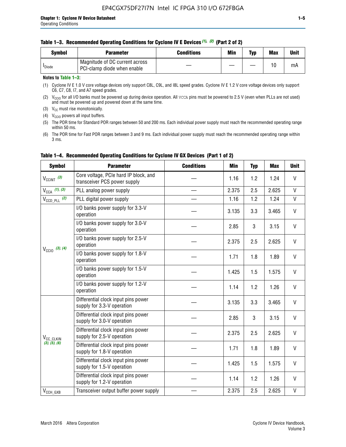#### **Table 1–3. Recommended Operating Conditions for Cyclone IV E Devices** *(1)***,** *(2)* **(Part 2 of 2)**

| Svmbol             | <b>Parameter</b>                                              | <b>Conditions</b> | Min | Typ | <b>Max</b> | Unit |
|--------------------|---------------------------------------------------------------|-------------------|-----|-----|------------|------|
| <sup>I</sup> Diode | Magnitude of DC current across<br>PCI-clamp diode when enable |                   |     |     | 10         | mA   |

#### **Notes to Table 1–3:**

(1) Cyclone IV E 1.0 V core voltage devices only support C8L, C9L, and I8L speed grades. Cyclone IV E 1.2 V core voltage devices only support C6, C7, C8, I7, and A7 speed grades.

(2)  $V_{CCIO}$  for all I/O banks must be powered up during device operation. All vcca pins must be powered to 2.5 V (even when PLLs are not used) and must be powered up and powered down at the same time.

(3)  $V_{CC}$  must rise monotonically.

(4)  $V_{\text{CCIO}}$  powers all input buffers.

(5) The POR time for Standard POR ranges between 50 and 200 ms. Each individual power supply must reach the recommended operating range within 50 ms.

(6) The POR time for Fast POR ranges between 3 and 9 ms. Each individual power supply must reach the recommended operating range within 3 ms.

| <b>Symbol</b>              | <b>Parameter</b>                                                      | <b>Conditions</b> | <b>Min</b> | <b>Typ</b> | <b>Max</b> | <b>Unit</b>  |
|----------------------------|-----------------------------------------------------------------------|-------------------|------------|------------|------------|--------------|
| $V_{\text{CCINT}}$ (3)     | Core voltage, PCIe hard IP block, and<br>transceiver PCS power supply |                   | 1.16       | 1.2        | 1.24       | V            |
| $V_{CCA}$ (1), (3)         | PLL analog power supply                                               |                   | 2.375      | 2.5        | 2.625      | V            |
| $V_{CCD\ PLL}$ (2)         | PLL digital power supply                                              |                   | 1.16       | 1.2        | 1.24       | V            |
| $V_{\text{CC}10}$ (3), (4) | I/O banks power supply for 3.3-V<br>operation                         |                   | 3.135      | 3.3        | 3.465      | V            |
|                            | I/O banks power supply for 3.0-V<br>operation                         |                   | 2.85       | 3          | 3.15       | V            |
|                            | I/O banks power supply for 2.5-V<br>operation                         |                   | 2.375      | 2.5        | 2.625      | V            |
|                            | I/O banks power supply for 1.8-V<br>operation                         |                   | 1.71       | 1.8        | 1.89       | V            |
|                            | I/O banks power supply for 1.5-V<br>operation                         |                   | 1.425      | 1.5        | 1.575      | V            |
|                            | I/O banks power supply for 1.2-V<br>operation                         |                   | 1.14       | 1.2        | 1.26       | $\mathsf{V}$ |
|                            | Differential clock input pins power<br>supply for 3.3-V operation     |                   | 3.135      | 3.3        | 3.465      | V            |
|                            | Differential clock input pins power<br>supply for 3.0-V operation     |                   | 2.85       | 3          | 3.15       | $\mathsf{V}$ |
| V <sub>CC</sub> CLKIN      | Differential clock input pins power<br>supply for 2.5-V operation     |                   | 2.375      | 2.5        | 2.625      | V            |
| (3), (5), (6)              | Differential clock input pins power<br>supply for 1.8-V operation     |                   | 1.71       | 1.8        | 1.89       | V            |
|                            | Differential clock input pins power<br>supply for 1.5-V operation     |                   | 1.425      | 1.5        | 1.575      | V            |
|                            | Differential clock input pins power<br>supply for 1.2-V operation     |                   | 1.14       | 1.2        | 1.26       | V            |
| $V_{CCH_GXB}$              | Transceiver output buffer power supply                                |                   | 2.375      | 2.5        | 2.625      | V            |

### **Table 1–4. Recommended Operating Conditions for Cyclone IV GX Devices (Part 1 of 2)**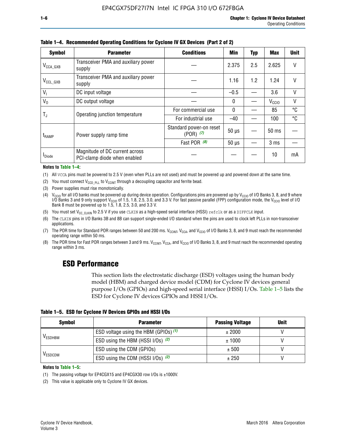| <b>Symbol</b>         | <b>Parameter</b>                                               | <b>Conditions</b>                        |            |     |                   |        |
|-----------------------|----------------------------------------------------------------|------------------------------------------|------------|-----|-------------------|--------|
| $V_{\text{CCA\_GXB}}$ | Transceiver PMA and auxiliary power<br>supply                  |                                          | 2.375      | 2.5 | 2.625             |        |
| $V_{CCL_GXB}$         | Transceiver PMA and auxiliary power<br>supply                  |                                          | 1.16       | 1.2 | 1.24              | V      |
| $V_{1}$               | DC input voltage                                               |                                          | $-0.5$     |     | 3.6               | $\vee$ |
| $V_0$                 | DC output voltage                                              |                                          | 0          |     | V <sub>CCIO</sub> | V      |
| T,                    | Operating junction temperature                                 | For commercial use                       | 0          |     | 85                | °C     |
|                       |                                                                | For industrial use                       | $-40$      |     | 100               | °C     |
| $t_{\sf{RAMP}}$       | Power supply ramp time                                         | Standard power-on reset<br>$(POR)$ $(7)$ | $50 \mu s$ |     | $50 \text{ ms}$   |        |
|                       |                                                                | Fast POR (8)                             | $50 \mu s$ |     | 3 <sub>ms</sub>   |        |
| <b>I</b> Diode        | Magnitude of DC current across<br>PCI-clamp diode when enabled |                                          |            |     | 10                | mA     |

**Table 1–4. Recommended Operating Conditions for Cyclone IV GX Devices (Part 2 of 2)**

#### **Notes to Table 1–4:**

- (1) All VCCA pins must be powered to 2.5 V (even when PLLs are not used) and must be powered up and powered down at the same time.
- (2) You must connect  $V_{CCD-PLL}$  to  $V_{CCINT}$  through a decoupling capacitor and ferrite bead.
- (3) Power supplies must rise monotonically.
- (4)  $V_{\text{CCIO}}$  for all I/O banks must be powered up during device operation. Configurations pins are powered up by V<sub>CCIO</sub> of I/O Banks 3, 8, and 9 where I/O Banks 3 and 9 only support V<sub>CCIO</sub> of 1.5, 1.8, 2.5, 3.0, and 3.3 V. For fast passive parallel (FPP) configuration mode, the V<sub>CCIO</sub> level of I/O<br>Bank 8 must be powered up to 1.5, 1.8, 2.5, 3.0, and 3.3 V.
- (5) You must set  $V_{CC_CCLKIN}$  to 2.5 V if you use CLKIN as a high-speed serial interface (HSSI) refclk or as a DIFFCLK input.
- (6) The CLKIN pins in I/O Banks 3B and 8B can support single-ended I/O standard when the pins are used to clock left PLLs in non-transceiver applications.
- (7) The POR time for Standard POR ranges between 50 and 200 ms.  $V_{\text{CCIA}}$ ,  $V_{\text{CCIA}}$ , and  $V_{\text{CCIO}}$  of I/O Banks 3, 8, and 9 must reach the recommended operating range within 50 ms.
- (8) The POR time for Fast POR ranges between 3 and 9 ms.  $V_{\text{CCH},T}$ ,  $V_{\text{CCA}}$ , and  $V_{\text{CCI}}$  of I/O Banks 3, 8, and 9 must reach the recommended operating range within 3 ms.

# **ESD Performance**

This section lists the electrostatic discharge (ESD) voltages using the human body model (HBM) and charged device model (CDM) for Cyclone IV devices general purpose I/Os (GPIOs) and high-speed serial interface (HSSI) I/Os. Table 1–5 lists the ESD for Cyclone IV devices GPIOs and HSSI I/Os.

|  | Table 1–5. ESD for Cyclone IV Devices GPIOs and HSSI I/Os |  |
|--|-----------------------------------------------------------|--|
|--|-----------------------------------------------------------|--|

| <b>Symbol</b>  | <b>Parameter</b>                      | <b>Passing Voltage</b> | <b>Unit</b> |
|----------------|---------------------------------------|------------------------|-------------|
|                | ESD voltage using the HBM (GPIOs) (1) | ± 2000                 |             |
| <b>VESDHBM</b> | ESD using the HBM (HSSI I/Os) (2)     | ± 1000                 |             |
|                | ESD using the CDM (GPIOs)             | ± 500                  |             |
| <b>VESDCDM</b> | ESD using the CDM (HSSI I/Os) (2)     | ± 250                  |             |

#### **Notes to Table 1–5:**

(1) The passing voltage for EP4CGX15 and EP4CGX30 row I/Os is ±1000V.

(2) This value is applicable only to Cyclone IV GX devices.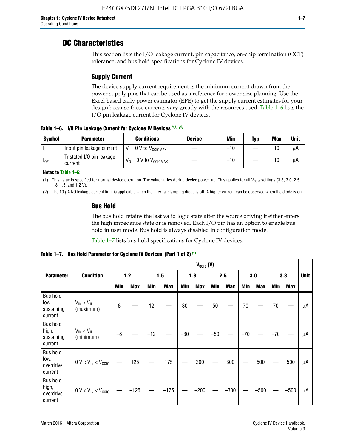# **DC Characteristics**

This section lists the I/O leakage current, pin capacitance, on-chip termination (OCT) tolerance, and bus hold specifications for Cyclone IV devices.

# **Supply Current**

The device supply current requirement is the minimum current drawn from the power supply pins that can be used as a reference for power size planning. Use the Excel-based early power estimator (EPE) to get the supply current estimates for your design because these currents vary greatly with the resources used. Table 1–6 lists the I/O pin leakage current for Cyclone IV devices.

**Table 1–6. I/O Pin Leakage Current for Cyclone IV Devices** *(1)***,** *(2)*

| <b>Symbol</b> | <b>Parameter</b>                     | <b>Conditions</b>                     | <b>Device</b> | Min   | Typ | <b>Max</b> | <b>Unit</b> |
|---------------|--------------------------------------|---------------------------------------|---------------|-------|-----|------------|-------------|
| -lı           | Input pin leakage current            | $V_1 = 0$ V to $V_{\text{CCIOMAX}}$   |               | $-10$ |     | 10         | μA          |
| $I_{0Z}$      | Tristated I/O pin leakage<br>current | $V_0 = 0 V$ to $V_{\text{CCIOMAX}}$ I |               | $-10$ |     | 10         | μA          |

**Notes to Table 1–6:**

(1) This value is specified for normal device operation. The value varies during device power-up. This applies for all V<sub>CCIO</sub> settings (3.3, 3.0, 2.5, 1.8, 1.5, and 1.2 V).

(2) The 10 µA I/O leakage current limit is applicable when the internal clamping diode is off. A higher current can be observed when the diode is on.

### **Bus Hold**

The bus hold retains the last valid logic state after the source driving it either enters the high impedance state or is removed. Each I/O pin has an option to enable bus hold in user mode. Bus hold is always disabled in configuration mode.

Table 1–7 lists bus hold specifications for Cyclone IV devices.

|                                                   |                                  | $V_{CCIO} (V)$ |            |       |            |            |            |            |            |       |            |       |            |             |
|---------------------------------------------------|----------------------------------|----------------|------------|-------|------------|------------|------------|------------|------------|-------|------------|-------|------------|-------------|
| <b>Parameter</b>                                  | <b>Condition</b>                 |                | 1.2        |       | 1.5        |            | 1.8        |            | 2.5        |       | 3.0        |       | 3.3        | <b>Unit</b> |
|                                                   |                                  | <b>Min</b>     | <b>Max</b> | Min   | <b>Max</b> | <b>Min</b> | <b>Max</b> | <b>Min</b> | <b>Max</b> | Min   | <b>Max</b> | Min   | <b>Max</b> |             |
| <b>Bus hold</b><br>low,<br>sustaining<br>current  | $V_{IN}$ > $V_{IL}$<br>(maximum) | 8              |            | 12    |            | 30         |            | 50         |            | 70    |            | 70    |            | μA          |
| <b>Bus hold</b><br>high,<br>sustaining<br>current | $V_{IN}$ < $V_{IL}$<br>(minimum) | $-8$           |            | $-12$ |            | $-30$      |            | $-50$      |            | $-70$ |            | $-70$ |            | μA          |
| <b>Bus hold</b><br>low,<br>overdrive<br>current   | $0 V < V_{IN} < V_{CG10}$        |                | 125        |       | 175        |            | 200        |            | 300        |       | 500        |       | 500        | μA          |
| <b>Bus hold</b><br>high,<br>overdrive<br>current  | $0 V < V_{IN} < V_{CG10}$        |                | $-125$     |       | $-175$     |            | $-200$     |            | $-300$     |       | $-500$     |       | $-500$     | μA          |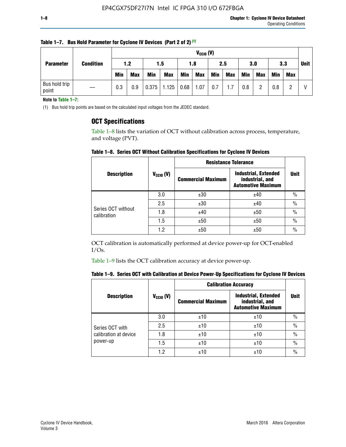| <b>Parameter</b>       |                  |            | $V_{CClO}$ (V) |            |            |            |            |            |     |     |            |            |             |  |
|------------------------|------------------|------------|----------------|------------|------------|------------|------------|------------|-----|-----|------------|------------|-------------|--|
|                        | <b>Condition</b> | 1.2<br>1.5 |                |            |            | 2.5<br>1.8 |            |            | 3.0 |     | 3.3        |            | <b>Unit</b> |  |
|                        |                  | <b>Min</b> | <b>Max</b>     | <b>Min</b> | <b>Max</b> | Min        | <b>Max</b> | <b>Min</b> | Max | Min | <b>Max</b> | <b>Min</b> | Max         |  |
| Bus hold trip<br>point |                  | 0.3        | 0.9            | 0.375      | 1.125      | 0.68       | 1.07       | 0.7        | 1.7 | 0.8 | ŋ          | 0.8        |             |  |

**Table 1–7. Bus Hold Parameter for Cyclone IV Devices (Part 2 of 2)** *(1)*

**Note to Table 1–7:**

(1) Bus hold trip points are based on the calculated input voltages from the JEDEC standard.

### **OCT Specifications**

Table 1–8 lists the variation of OCT without calibration across process, temperature, and voltage (PVT).

**Table 1–8. Series OCT Without Calibration Specifications for Cyclone IV Devices**

|                                   |                       | <b>Resistance Tolerance</b> |                                                                             |               |
|-----------------------------------|-----------------------|-----------------------------|-----------------------------------------------------------------------------|---------------|
| <b>Description</b>                | $V_{\text{CCIO}}$ (V) | <b>Commercial Maximum</b>   | <b>Industrial, Extended</b><br>industrial, and<br><b>Automotive Maximum</b> | <b>Unit</b>   |
|                                   | 3.0                   | ±30                         | ±40                                                                         | $\frac{0}{0}$ |
|                                   | 2.5                   | ±30                         | ±40                                                                         | $\frac{0}{0}$ |
| Series OCT without<br>calibration | 1.8                   | ±40                         | ±50                                                                         | $\frac{0}{0}$ |
|                                   | 1.5                   | ±50                         | ±50                                                                         | $\frac{0}{0}$ |
|                                   | 1.2                   | ±50                         | ±50                                                                         | $\frac{0}{0}$ |

OCT calibration is automatically performed at device power-up for OCT-enabled I/Os.

Table 1–9 lists the OCT calibration accuracy at device power-up.

|  | Table 1–9.  Series OCT with Calibration at Device Power-Up Specifications for Cyclone IV Devices |  |  |  |
|--|--------------------------------------------------------------------------------------------------|--|--|--|
|--|--------------------------------------------------------------------------------------------------|--|--|--|

|                       |                | <b>Calibration Accuracy</b> |                                                                             |               |
|-----------------------|----------------|-----------------------------|-----------------------------------------------------------------------------|---------------|
| <b>Description</b>    | $V_{CGI0} (V)$ | <b>Commercial Maximum</b>   | <b>Industrial, Extended</b><br>industrial, and<br><b>Automotive Maximum</b> | Unit          |
|                       | 3.0            | ±10                         | ±10                                                                         | $\%$          |
| Series OCT with       | 2.5            | ±10                         | ±10                                                                         | $\%$          |
| calibration at device | 1.8            | ±10                         | ±10                                                                         | $\frac{0}{0}$ |
| power-up              | 1.5            | ±10                         | ±10                                                                         | $\frac{0}{0}$ |
|                       | 1.2            | ±10                         | ±10                                                                         | $\frac{0}{0}$ |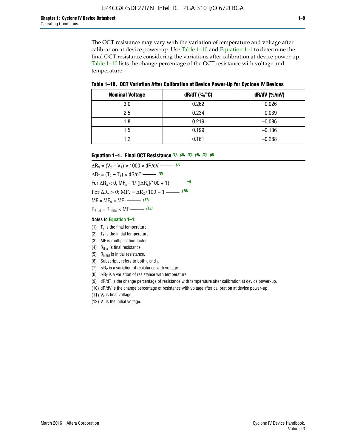The OCT resistance may vary with the variation of temperature and voltage after calibration at device power-up. Use Table 1–10 and Equation 1–1 to determine the final OCT resistance considering the variations after calibration at device power-up. Table 1–10 lists the change percentage of the OCT resistance with voltage and temperature.

**Table 1–10. OCT Variation After Calibration at Device Power**-**Up for Cyclone IV Devices**

| <b>Nominal Voltage</b> | dR/dT (%/°C) | $dR/dV$ (%/mV) |
|------------------------|--------------|----------------|
| 3.0                    | 0.262        | $-0.026$       |
| 2.5                    | 0.234        | $-0.039$       |
| 1.8                    | 0.219        | $-0.086$       |
| 1.5                    | 0.199        | $-0.136$       |
| 1.2                    | 0.161        | $-0.288$       |

#### **Equation 1–1. Final OCT Resistance** *(1)***,** *(2)***,** *(3)***,** *(4)***,** *(5)***,** *(6)*

 $\Delta R_V = (V_2 - V_1) \times 1000 \times dR/dV$  ––––––––––––(7)  $\Delta R_T = (T_2 - T_1) \times dR/dT$  ––––––– (8) For  $\Delta R_x < 0$ ; MF<sub>x</sub> = 1/ ( $|\Delta R_x|/100 + 1$ ) –––––– (9) For  $\Delta R_x > 0$ ;  $\text{MF}_x = \Delta R_x / 100 + 1$  ——– (10)  $MF = MF_V \times MF_T$  –––––––––––(11) Rfinal = Rinitial × MF ––––– *(12)*

#### **Notes to Equation 1–1:**

- (1)  $T_2$  is the final temperature.
- (2)  $T_1$  is the initial temperature.
- (3) MF is multiplication factor.
- (4)  $R<sub>final</sub>$  is final resistance.
- (5) Rinitial is initial resistance.
- (6) Subscript x refers to both  $\sqrt{v}$  and  $\sqrt{v}$ .
- (7)  $\Delta R_V$  is a variation of resistance with voltage.
- (8)  $\Delta R_T$  is a variation of resistance with temperature.
- (9) dR/dT is the change percentage of resistance with temperature after calibration at device power-up.
- (10) dR/dV is the change percentage of resistance with voltage after calibration at device power-up.
- (11)  $V_2$  is final voltage.
- (12)  $V_1$  is the initial voltage.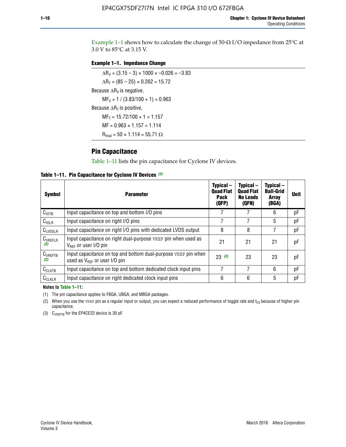Example 1-1 shows how to calculate the change of  $50$ - $\Omega$  I/O impedance from 25°C at 3.0 V to 85°C at 3.15 V.

#### **Example 1–1. Impedance Change**

 $\Delta R_V = (3.15 - 3) \times 1000 \times -0.026 = -3.83$  $\Delta R_T = (85 - 25) \times 0.262 = 15.72$ Because  $\Delta R_V$  is negative,  $MF_V = 1 / (3.83/100 + 1) = 0.963$ Because  $\Delta R_T$  is positive,  $MF_T = 15.72/100 + 1 = 1.157$  $MF = 0.963 \times 1.157 = 1.114$  $R_{final} = 50 \times 1.114 = 55.71 \Omega$ 

## **Pin Capacitance**

Table 1–11 lists the pin capacitance for Cyclone IV devices.

**Table 1–11. Pin Capacitance for Cyclone IV Devices** *(1)*

| <b>Symbol</b>       | <b>Parameter</b>                                                                                    | Typical-<br><b>Quad Flat</b><br><b>Pack</b><br>(QFP) | Typical-<br><b>Quad Flat</b><br><b>No Leads</b><br>(QFN) | Typical-<br><b>Ball-Grid</b><br><b>Array</b><br>(BGA) | <b>Unit</b> |
|---------------------|-----------------------------------------------------------------------------------------------------|------------------------------------------------------|----------------------------------------------------------|-------------------------------------------------------|-------------|
| C <sub>IOTB</sub>   | Input capacitance on top and bottom I/O pins                                                        |                                                      |                                                          | 6                                                     | рF          |
| $C_{IOLR}$          | Input capacitance on right I/O pins                                                                 |                                                      |                                                          | 5                                                     | pF          |
| $C_{LVDSLR}$        | Input capacitance on right I/O pins with dedicated LVDS output                                      | 8                                                    | 8                                                        | 7                                                     | рF          |
| $C_{VREFLR}$<br>(2) | Input capacitance on right dual-purpose VREF pin when used as<br>$V_{BFF}$ or user I/O pin          | 21                                                   | 21                                                       | 21                                                    | pF          |
| $C_{VREFTB}$<br>(2) | Input capacitance on top and bottom dual-purpose VREF pin when<br>used as $V_{BFF}$ or user I/O pin | 23(3)                                                | 23                                                       | 23                                                    | рF          |
| $C_{CLKTB}$         | Input capacitance on top and bottom dedicated clock input pins                                      |                                                      | 7                                                        | 6                                                     | рF          |
| $C_{CLKLR}$         | Input capacitance on right dedicated clock input pins                                               | 6                                                    | 6                                                        | 5                                                     | рF          |

#### **Notes to Table 1–11:**

(1) The pin capacitance applies to FBGA, UBGA, and MBGA packages.

(2) When you use the VREF pin as a regular input or output, you can expect a reduced performance of toggle rate and  $t_{\rm CO}$  because of higher pin capacitance.

(3) CVREFTB for the EP4CE22 device is 30 pF.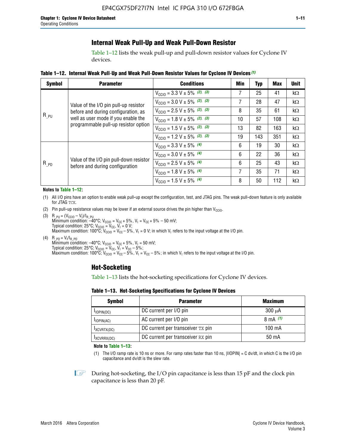# **Internal Weak Pull-Up and Weak Pull-Down Resistor**

Table 1–12 lists the weak pull-up and pull-down resistor values for Cyclone IV devices.

**Table 1–12. Internal Weak Pull**-**Up and Weak Pull**-**Down Resistor Values for Cyclone IV Devices** *(1)*

| <b>Symbol</b> | <b>Parameter</b>                                                            | <b>Conditions</b>                                  | Min | Typ | <b>Max</b> | <b>Unit</b> |
|---------------|-----------------------------------------------------------------------------|----------------------------------------------------|-----|-----|------------|-------------|
|               |                                                                             | $V_{\text{CC10}} = 3.3 \text{ V} \pm 5\%$ (2), (3) | 7   | 25  | 41         | kΩ          |
|               | Value of the I/O pin pull-up resistor                                       | $V_{\text{CC10}} = 3.0 \text{ V} \pm 5\%$ (2), (3) | 7   | 28  | 47         | kΩ          |
|               | before and during configuration, as                                         | $V_{\text{CC10}} = 2.5 V \pm 5\%$ (2), (3)         | 8   | 35  | 61         | kΩ          |
| $R_{PU}$      | well as user mode if you enable the<br>programmable pull-up resistor option | $V_{\text{CC10}} = 1.8 V \pm 5\%$ (2), (3)         | 10  | 57  | 108        | kΩ          |
|               |                                                                             | $V_{\text{CC10}} = 1.5 \text{ V} \pm 5\%$ (2), (3) | 13  | 82  | 163        | kΩ          |
|               |                                                                             | $V_{\text{CC10}} = 1.2 \text{ V} \pm 5\%$ (2), (3) | 19  | 143 | 351        | kΩ          |
|               |                                                                             | $V_{\text{CC10}} = 3.3 V \pm 5\%$ (4)              | 6   | 19  | 30         | kΩ          |
| $R_{PD}$      |                                                                             | $V_{\text{CC10}} = 3.0 V \pm 5\%$ (4)              | 6   | 22  | 36         | kΩ          |
|               | Value of the I/O pin pull-down resistor<br>before and during configuration  | $V_{\text{CC10}} = 2.5 V \pm 5\%$ (4)              | 6   | 25  | 43         | kΩ          |
|               |                                                                             | $V_{\text{CC10}} = 1.8 \text{ V} \pm 5\%$ (4)      | 7   | 35  | 71         | kΩ          |
|               |                                                                             | $V_{\text{CC10}} = 1.5 V \pm 5\%$ (4)              | 8   | 50  | 112        | kΩ          |

#### **Notes to Table 1–12:**

- (1) All I/O pins have an option to enable weak pull-up except the configuration, test, and JTAG pins. The weak pull-down feature is only available for JTAG TCK.
- (2) Pin pull-up resistance values may be lower if an external source drives the pin higher than  $V_{\text{CCIO}}$ .
- (3)  $R_{PU} = (V_{CC10} V_1)/I_{R_PU}$ Minimum condition: –40°C; V<sub>CCIO</sub> = V<sub>CC</sub> + 5%, V<sub>I</sub> = V<sub>CC</sub> + 5% – 50 mV; Typical condition: 25°C; V<sub>CCIO</sub> = V<sub>CC</sub>, V<sub>I</sub> = 0 V; Maximum condition: 100°C;  $V_{\text{CCIO}} = V_{\text{CC}} - 5\%$ ,  $V_1 = 0$  V; in which V<sub>I</sub> refers to the input voltage at the I/O pin.
- (4)  $R_{PD} = V_I/I_{R_PD}$ Minimum condition:  $-40^{\circ}$ C; V<sub>CCIO</sub> = V<sub>CC</sub> + 5%, V<sub>I</sub> = 50 mV; Typical condition: 25°C;  $V_{\text{CCIO}} = V_{\text{CC}}$ ,  $V_{\text{I}} = V_{\text{CC}} - 5\%$ ; Maximum condition: 100°C; V<sub>CClO</sub> = V<sub>CC</sub> – 5%, V<sub>I</sub> = V<sub>CC</sub> – 5%; in which V<sub>I</sub> refers to the input voltage at the I/O pin.

## **Hot-Socketing**

Table 1–13 lists the hot-socketing specifications for Cyclone IV devices.

**Table 1–13. Hot**-**Socketing Specifications for Cyclone IV Devices**

| <b>Symbol</b> | <b>Maximum</b>                    |             |
|---------------|-----------------------------------|-------------|
| $I$ IOPIN(DC) | DC current per I/O pin            | $300 \mu A$ |
| $I$ IOPIN(AC) | AC current per I/O pin            | 8 mA $(1)$  |
| IXCVRTX(DC)   | DC current per transceiver TX pin | 100 mA      |
| IXCVRRX(DC)   | DC current per transceiver RX pin | 50 mA       |

**Note to Table 1–13:**

(1) The I/O ramp rate is 10 ns or more. For ramp rates faster than 10 ns, |IIOPIN| = C dv/dt, in which C is the I/O pin capacitance and dv/dt is the slew rate.

 $\mathbb{I} \rightarrow \mathbb{I}$  During hot-socketing, the I/O pin capacitance is less than 15 pF and the clock pin capacitance is less than 20 pF.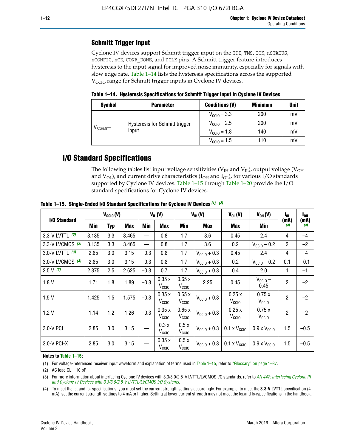# **Schmitt Trigger Input**

Cyclone IV devices support Schmitt trigger input on the TDI, TMS, TCK, nSTATUS, nCONFIG, nCE, CONF\_DONE, and DCLK pins. A Schmitt trigger feature introduces hysteresis to the input signal for improved noise immunity, especially for signals with slow edge rate. Table 1–14 lists the hysteresis specifications across the supported  $V<sub>CCIO</sub>$  range for Schmitt trigger inputs in Cyclone IV devices.

**Table 1–14. Hysteresis Specifications for Schmitt Trigger Input in Cyclone IV Devices**

| <b>Symbol</b>        | <b>Parameter</b>               | <b>Conditions (V)</b>   | <b>Minimum</b> | <b>Unit</b> |
|----------------------|--------------------------------|-------------------------|----------------|-------------|
|                      |                                | $V_{\text{CCIO}} = 3.3$ | 200            | mV          |
|                      | Hysteresis for Schmitt trigger | $V_{\text{CGI0}} = 2.5$ | 200            | mV          |
| V <sub>SCHMITT</sub> | input                          | $V_{\text{CCIO}} = 1.8$ | 140            | mV          |
|                      |                                | $V_{\text{CCIO}} = 1.5$ | 110            | mV          |

# **I/O Standard Specifications**

The following tables list input voltage sensitivities ( $V<sub>IH</sub>$  and  $V<sub>II</sub>$ ), output voltage ( $V<sub>OH</sub>$ and  $V_{OL}$ ), and current drive characteristics ( $I_{OH}$  and  $I_{OL}$ ), for various I/O standards supported by Cyclone IV devices. Table 1–15 through Table 1–20 provide the I/O standard specifications for Cyclone IV devices.

|                   | $V_{CCl0}(V)$ |     | $V_{IL}(V)$ |        |                            | $V_{IH} (V)$               | $V_{OL}(V)$             | $V_{OH} (V)$                 | I <sub>OL</sub>              | l <sub>oh</sub> |             |
|-------------------|---------------|-----|-------------|--------|----------------------------|----------------------------|-------------------------|------------------------------|------------------------------|-----------------|-------------|
| I/O Standard      | <b>Min</b>    | Typ | <b>Max</b>  | Min    | <b>Max</b>                 | Min                        | <b>Max</b>              | Max                          | Min                          | (mA)<br>(4)     | (mA)<br>(4) |
| 3.3-V LVTTL (3)   | 3.135         | 3.3 | 3.465       |        | 0.8                        | 1.7                        | 3.6                     | 0.45                         | 2.4                          | 4               | $-4$        |
| 3.3-V LVCMOS (3)  | 3.135         | 3.3 | 3.465       |        | 0.8                        | 1.7                        | 3.6                     | 0.2                          | $V_{\text{CCIO}} - 0.2$      | $\overline{2}$  | $-2$        |
| 3.0-V LVTTL $(3)$ | 2.85          | 3.0 | 3.15        | $-0.3$ | 0.8                        | 1.7                        | $V_{\text{CC10}} + 0.3$ | 0.45                         | 2.4                          | 4               | $-4$        |
| 3.0-V LVCMOS (3)  | 2.85          | 3.0 | 3.15        | $-0.3$ | 0.8                        | 1.7                        | $V_{\text{CC10}} + 0.3$ | 0.2                          | $V_{\text{CC10}} - 0.2$      | 0.1             | $-0.1$      |
| $2.5 V$ (3)       | 2.375         | 2.5 | 2.625       | $-0.3$ | 0.7                        | 1.7                        | $V_{\text{CC10}} + 0.3$ | 0.4                          | 2.0                          | 1               | $-1$        |
| 1.8V              | 1.71          | 1.8 | 1.89        | $-0.3$ | 0.35x<br>V <sub>CCIO</sub> | 0.65x<br>V <sub>CCIO</sub> | 2.25                    | 0.45                         | $V_{CGIO}$ –<br>0.45         | $\overline{2}$  | $-2$        |
| 1.5V              | 1.425         | 1.5 | 1.575       | $-0.3$ | 0.35x<br>V <sub>CCIO</sub> | 0.65x<br>V <sub>CCIO</sub> | $V_{\text{CC10}} + 0.3$ | 0.25x<br>V <sub>CCIO</sub>   | 0.75x<br>V <sub>CCIO</sub>   | $\overline{2}$  | $-2$        |
| 1.2V              | 1.14          | 1.2 | 1.26        | $-0.3$ | 0.35x<br>V <sub>CCIO</sub> | 0.65x<br>V <sub>CCIO</sub> | $V_{\text{CC10}} + 0.3$ | 0.25x<br>V <sub>CCIO</sub>   | 0.75x<br>V <sub>CCIO</sub>   | $\overline{2}$  | $-2$        |
| 3.0-V PCI         | 2.85          | 3.0 | 3.15        |        | 0.3x<br>V <sub>CCIO</sub>  | 0.5x<br>V <sub>CCIO</sub>  | $V_{\text{CCI}0}$ + 0.3 | $0.1 \times V_{CC10}$        | $0.9 \times V_{\text{CC10}}$ | 1.5             | $-0.5$      |
| 3.0-V PCI-X       | 2.85          | 3.0 | 3.15        |        | 0.35x<br>V <sub>CCIO</sub> | 0.5x<br>V <sub>CCIO</sub>  | $V_{\text{CC10}} + 0.3$ | $0.1 \times V_{\text{CCIO}}$ | $0.9 \times V_{\text{CC10}}$ | 1.5             | $-0.5$      |

**Table 1–15. Single**-**Ended I/O Standard Specifications for Cyclone IV Devices** *(1)***,** *(2)*

#### **Notes to Table 1–15:**

(1) For voltage-referenced receiver input waveform and explanation of terms used in Table 1–15, refer to "Glossary" on page 1–37.

(2) AC load  $CL = 10$  pF

(3) For more information about interfacing Cyclone IV devices with 3.3/3.0/2.5-V LVTTL/LVCMOS I/O standards, refer to *[AN 447: Interfacing Cyclone III](http://www.altera.com/literature/an/an447.pdf)  [and Cyclone IV Devices with 3.3/3.0/2.5-V LVTTL/LVCMOS I/O Systems](http://www.altera.com/literature/an/an447.pdf)*.

(4) To meet the IOL and IOH specifications, you must set the current strength settings accordingly. For example, to meet the **3.3-V LVTTL** specification (4 mA), set the current strength settings to 4 mA or higher. Setting at lower current strength may not meet the lou and lon specifications in the handbook.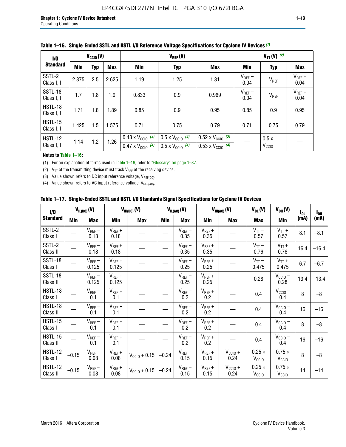| 1/0                           | $V_{\text{CC10}}(V)$ |            |            |                                                                        | $V_{TT}(V)^{(2)}$                                                    |                                                                        |                     |                           |                     |
|-------------------------------|----------------------|------------|------------|------------------------------------------------------------------------|----------------------------------------------------------------------|------------------------------------------------------------------------|---------------------|---------------------------|---------------------|
| <b>Standard</b>               | Min                  | <b>Typ</b> | <b>Max</b> | Min                                                                    | <b>Typ</b>                                                           | Max                                                                    | Min                 | <b>Typ</b>                | <b>Max</b>          |
| SSTL-2<br>Class I, II         | 2.375                | 2.5        | 2.625      | 1.19                                                                   | 1.25                                                                 | 1.31                                                                   | $V_{REF}$ –<br>0.04 | V <sub>REF</sub>          | $V_{REF}$ +<br>0.04 |
| SSTL-18<br>Class I, II        | 1.7                  | 1.8        | 1.9        | 0.833                                                                  | 0.9                                                                  | 0.969                                                                  | $V_{REF}$ –<br>0.04 | V <sub>REF</sub>          | $V_{REF}$ +<br>0.04 |
| HSTL-18<br>Class I, II        | 1.71                 | 1.8        | 1.89       | 0.85                                                                   | 0.9                                                                  | 0.95                                                                   | 0.85                | 0.9                       | 0.95                |
| <b>HSTL-15</b><br>Class I, II | 1.425                | 1.5        | 1.575      | 0.71                                                                   | 0.75                                                                 | 0.79                                                                   | 0.71                | 0.75                      | 0.79                |
| HSTL-12<br>Class I, II        | 1.14                 | 1.2        | 1.26       | $0.48 \times V_{\text{CC10}}$ (3)<br>$0.47 \times V_{\text{CC10}}$ (4) | $0.5 \times V_{\text{CC10}}$ (3)<br>$0.5 \times V_{\text{CC10}}$ (4) | $0.52 \times V_{\text{CC10}}$ (3)<br>$0.53 \times V_{\text{CC10}}$ (4) |                     | 0.5x<br>V <sub>CCIO</sub> |                     |

|  |  |  |  | Table 1–16. Single-Ended SSTL and HSTL I/O Reference Voltage Specifications for Cyclone IV Devices (1) |
|--|--|--|--|--------------------------------------------------------------------------------------------------------|
|--|--|--|--|--------------------------------------------------------------------------------------------------------|

**Notes to Table 1–16:**

(1) For an explanation of terms used in Table 1–16, refer to "Glossary" on page 1–37.

(2)  $V_{TT}$  of the transmitting device must track  $V_{REF}$  of the receiving device.

(3) Value shown refers to DC input reference voltage,  $V_{REF(DC)}$ .

(4) Value shown refers to AC input reference voltage,  $V_{REF(AC)}$ .

|  |  |  |  |  | Table 1–17.  Single-Ended SSTL and HSTL I/O Standards Signal Specifications for Cyclone IV Devices |
|--|--|--|--|--|----------------------------------------------------------------------------------------------------|
|--|--|--|--|--|----------------------------------------------------------------------------------------------------|

| I/O                        |            | $V_{IL(DC)}(V)$      |                      | $V_{IH(DC)}(V)$   |         | $V_{IL(AC)}(V)$     |                     | $V_{IH(AC)}(V)$      | $V_{OL}(V)$                        | $V_{OH} (V)$                       | $I_{0L}$ | $I_{0H}$ |
|----------------------------|------------|----------------------|----------------------|-------------------|---------|---------------------|---------------------|----------------------|------------------------------------|------------------------------------|----------|----------|
| <b>Standard</b>            | <b>Min</b> | <b>Max</b>           | Min                  | <b>Max</b>        | Min     | <b>Max</b>          | Min                 | <b>Max</b>           | <b>Max</b>                         | Min                                | (mA)     | (mA)     |
| SSTL-2<br>Class I          |            | $V_{REF}$ –<br>0.18  | $V_{REF} +$<br>0.18  |                   |         | $V_{REF}$ –<br>0.35 | $V_{REF} +$<br>0.35 |                      | $V_{TT}$ –<br>0.57                 | $V_{TT}$ +<br>0.57                 | 8.1      | $-8.1$   |
| SSTL-2<br>Class II         |            | $V_{REF}$ –<br>0.18  | $V_{REF} +$<br>0.18  |                   |         | $V_{REF}$ –<br>0.35 | $V_{REF} +$<br>0.35 |                      | $V_{TT}$ –<br>0.76                 | $V_{TT}$ +<br>0.76                 | 16.4     | $-16.4$  |
| SSTL-18<br>Class I         |            | $V_{REF}$ –<br>0.125 | $V_{REF}$ +<br>0.125 |                   |         | $V_{REF}$ –<br>0.25 | $V_{REF}$ +<br>0.25 |                      | $V_{TT}$ –<br>0.475                | $V_{TT}$ +<br>0.475                | 6.7      | $-6.7$   |
| SSTL-18<br>Class II        |            | $V_{REF}$ –<br>0.125 | $V_{REF}$ +<br>0.125 |                   |         | $V_{REF}$ –<br>0.25 | $V_{REF}$ +<br>0.25 |                      | 0.28                               | $V_{CC10} -$<br>0.28               | 13.4     | $-13.4$  |
| HSTL-18<br>Class I         |            | $V_{REF}$ –<br>0.1   | $V_{REF}$ +<br>0.1   |                   |         | $V_{REF}$ –<br>0.2  | $V_{REF}$ +<br>0.2  |                      | 0.4                                | $V_{CCIO}$<br>0.4                  | 8        | $-8$     |
| HSTL-18<br>Class II        |            | $V_{REF}$ –<br>0.1   | $V_{REF} +$<br>0.1   |                   |         | $V_{REF}$ –<br>0.2  | $V_{REF} +$<br>0.2  |                      | 0.4                                | $V_{CC10}$ –<br>0.4                | 16       | $-16$    |
| HSTL-15<br>Class I         |            | $V_{REF}$ –<br>0.1   | $V_{REF}$ +<br>0.1   |                   |         | $V_{REF}$ –<br>0.2  | $V_{REF}$ +<br>0.2  |                      | 0.4                                | $V_{CCIO}$ –<br>0.4                | 8        | $-8$     |
| HSTL-15<br>Class II        |            | $V_{REF}$ –<br>0.1   | $V_{REF}$ +<br>0.1   |                   |         | $V_{REF}$ –<br>0.2  | $V_{REF}$ +<br>0.2  |                      | 0.4                                | $V_{CC10}$ –<br>0.4                | 16       | $-16$    |
| <b>HSTL-12</b><br>Class I  | $-0.15$    | $V_{REF}-$<br>0.08   | $V_{REF} +$<br>0.08  | $V_{CGI0} + 0.15$ | $-0.24$ | $V_{REF}$ –<br>0.15 | $V_{REF} +$<br>0.15 | $V_{CCIO} +$<br>0.24 | $0.25 \times$<br>V <sub>CCIO</sub> | $0.75 \times$<br>V <sub>CCIO</sub> | 8        | $-8$     |
| <b>HSTL-12</b><br>Class II | $-0.15$    | $V_{REF}-$<br>0.08   | $V_{REF} +$<br>0.08  | $V_{CGI0} + 0.15$ | $-0.24$ | $V_{REF}$ –<br>0.15 | $V_{REF} +$<br>0.15 | $V_{CCIO}$ +<br>0.24 | $0.25 \times$<br>V <sub>CCIO</sub> | $0.75 \times$<br>V <sub>CCIO</sub> | 14       | $-14$    |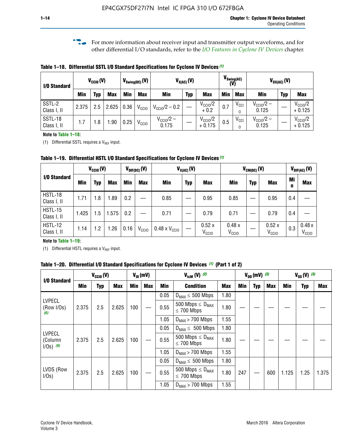**f For more information about receiver input and transmitter output waveforms, and for** other differential I/O standards, refer to the *[I/O Features in Cyclone IV Devices](http://www.altera.com/literature/hb/cyclone-iv/cyiv-51006.pdf)* chapter*.*

**Table 1–18. Differential SSTL I/O Standard Specifications for Cyclone IV Devices** *(1)*

| I/O Standard           |       | $V_{CCl0}(V)$ |            |      | $V_{\text{Swing(DC)}}(V)$ |                                | $V_{X(AC)}(V)$ |                                 | $V_{\text{Swing(AC)}}$<br>(V) |               | $V_{OX(AC)}(V)$                |            |                                 |
|------------------------|-------|---------------|------------|------|---------------------------|--------------------------------|----------------|---------------------------------|-------------------------------|---------------|--------------------------------|------------|---------------------------------|
|                        | Min   | Typ           | <b>Max</b> | Min  | <b>Max</b>                | <b>Min</b>                     | <b>Typ</b>     | <b>Max</b>                      | <b>Min</b>                    | <b>Max</b>    | Min                            | <b>Typ</b> | <b>Max</b>                      |
| SSTL-2<br>Class I, II  | 2.375 | 2.5           | 2.625      | 0.36 | V <sub>CCIO</sub>         | $V_{\text{CC10}}/2 - 0.2$      |                | $V_{\text{CC10}}/2$<br>$+0.2$   | 0.7                           | $V_{\rm CCI}$ | $V_{\text{CC10}}/2 -$<br>0.125 |            | $V_{\text{CC10}}/2$<br>$+0.125$ |
| SSTL-18<br>Class I, II | 1.7   | .8            | .90        | 0.25 | V <sub>CCIO</sub>         | $V_{\text{CC10}}/2 -$<br>0.175 |                | $V_{\text{CC10}}/2$<br>$+0.175$ | 0.5                           | $V_{\rm CCI}$ | $V_{\text{CC10}}/2 -$<br>0.125 |            | $V_{\text{CC10}}/2$<br>$+0.125$ |

#### **Note to Table 1–18:**

(1) Differential SSTL requires a  $V_{REF}$  input.

**Table 1–19. Differential HSTL I/O Standard Specifications for Cyclone IV Devices** *(1)*

|                               | $V_{CClO}(V)$ |     |            | $V_{\text{DIF(DC)}}(V)$ |                   | $V_{X(AC)}(V)$                |            |                            | $V_{CM(DC)}(V)$            |            |                            |         | $V_{\text{DIF(AC)}}(V)$    |  |
|-------------------------------|---------------|-----|------------|-------------------------|-------------------|-------------------------------|------------|----------------------------|----------------------------|------------|----------------------------|---------|----------------------------|--|
| I/O Standard                  | Min           | Typ | <b>Max</b> | Min                     | <b>Max</b>        | Min                           | <b>Typ</b> | <b>Max</b>                 | Min                        | <b>Typ</b> | <b>Max</b>                 | Mi<br>n | <b>Max</b>                 |  |
| HSTL-18<br>Class I, II        | 1.71          | 1.8 | .89        | 0.2                     |                   | 0.85                          |            | 0.95                       | 0.85                       |            | 0.95                       | 0.4     |                            |  |
| <b>HSTL-15</b><br>Class I, II | 1.425         | 1.5 | .575       | $0.2\,$                 |                   | 0.71                          |            | 0.79                       | 0.71                       |            | 0.79                       | 0.4     |                            |  |
| <b>HSTL-12</b><br>Class I, II | 1.14          | 1.2 | 1.26       | 0.16                    | V <sub>CCIO</sub> | $0.48 \times V_{\text{CC10}}$ |            | 0.52x<br>V <sub>CCIO</sub> | 0.48x<br>V <sub>CCIO</sub> |            | 0.52x<br>V <sub>CCIO</sub> | 0.3     | 0.48x<br>V <sub>CCIO</sub> |  |

#### **Note to Table 1–19:**

(1) Differential HSTL requires a  $V_{REF}$  input.

**Table 1–20. Differential I/O Standard Specifications for Cyclone IV Devices** *(1)* **(Part 1 of 2)**

| I/O Standard                            |       | $V_{CCl0} (V)$ |            |            | $V_{ID}$ (mV) |      | $V_{\text{lcm}}(V)^{(2)}$                           |            | $V_{0D}$ (mV) $(3)$ |     |     | $V_{0S} (V)^{(3)}$ |            |       |
|-----------------------------------------|-------|----------------|------------|------------|---------------|------|-----------------------------------------------------|------------|---------------------|-----|-----|--------------------|------------|-------|
|                                         | Min   | Typ            | <b>Max</b> | <b>Min</b> | <b>Max</b>    | Min  | <b>Condition</b>                                    | <b>Max</b> | Min                 | Typ | Max | Min                | <b>Typ</b> | Max   |
|                                         |       |                |            |            |               | 0.05 | $D_{MAX} \leq 500$ Mbps                             | 1.80       |                     |     |     |                    |            |       |
| <b>LVPECL</b><br>(Row I/Os)<br>(6)      | 2.375 | 2.5            | 2.625      | 100        |               | 0.55 | 500 Mbps $\leq$ D <sub>MAX</sub><br>$\leq$ 700 Mbps | 1.80       |                     |     |     |                    |            |       |
|                                         |       |                |            |            |               | 1.05 | $D_{MAX}$ > 700 Mbps                                | 1.55       |                     |     |     |                    |            |       |
|                                         |       |                |            |            |               | 0.05 | $D_{MAX} \leq 500$ Mbps                             | 1.80       |                     |     |     |                    |            |       |
| <b>LVPECL</b><br>(Column<br>$1/Os)$ (6) | 2.375 | 2.5            | 2.625      | 100        |               | 0.55 | 500 Mbps $\leq D_{MAX}$<br>$\leq$ 700 Mbps          | 1.80       |                     |     |     |                    |            |       |
|                                         |       |                |            |            |               | 1.05 | $D_{MAX}$ > 700 Mbps                                | 1.55       |                     |     |     |                    |            |       |
|                                         |       |                |            |            |               | 0.05 | $D_{MAX} \leq 500$ Mbps                             | 1.80       |                     |     |     |                    |            |       |
| LVDS (Row<br>I/Os)                      | 2.375 | 2.5            | 2.625      | 100        |               | 0.55 | 500 Mbps $\leq D_{MAX}$<br>$\leq 700$ Mbps          | 1.80       | 247                 |     | 600 | 1.125              | 1.25       | 1.375 |
|                                         |       |                |            |            |               | 1.05 | $D_{MAX}$ > 700 Mbps                                | 1.55       |                     |     |     |                    |            |       |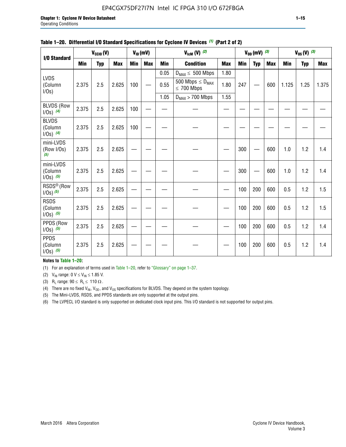### EP4CGX75DF27I7N Intel IC FPGA 310 I/O 672FBGA

| I/O Standard                             |            | $V_{CClO}(V)$ |            |            | $V_{ID}(mV)$ |            | $V_{\text{lcm}}(V)^{(2)}$                  |            |            | $V_{0D}$ (mV) $(3)$ |            |            | $V_{0S} (V)$ (3) |       |
|------------------------------------------|------------|---------------|------------|------------|--------------|------------|--------------------------------------------|------------|------------|---------------------|------------|------------|------------------|-------|
|                                          | <b>Min</b> | <b>Typ</b>    | <b>Max</b> | <b>Min</b> | <b>Max</b>   | <b>Min</b> | <b>Condition</b>                           | <b>Max</b> | <b>Min</b> | <b>Typ</b>          | <b>Max</b> | <b>Min</b> | <b>Typ</b>       | Max   |
|                                          |            |               |            |            |              | 0.05       | $D_{MAX} \leq 500$ Mbps                    | 1.80       |            |                     |            |            |                  |       |
| <b>LVDS</b><br>(Column<br>$I/Os$ )       | 2.375      | 2.5           | 2.625      | 100        |              | 0.55       | 500 Mbps $\leq D_{MAX}$<br>$\leq 700$ Mbps | 1.80       | 247        |                     | 600        | 1.125      | 1.25             | 1.375 |
|                                          |            |               |            |            |              | 1.05       | $D_{MAX}$ > 700 Mbps                       | 1.55       |            |                     |            |            |                  |       |
| <b>BLVDS (Row</b><br>$1/0s)$ (4)         | 2.375      | 2.5           | 2.625      | 100        |              |            |                                            |            |            |                     |            |            |                  |       |
| <b>BLVDS</b><br>(Column<br>$1/0s)$ (4)   | 2.375      | 2.5           | 2.625      | 100        |              |            |                                            |            |            |                     |            |            |                  |       |
| mini-LVDS<br>(Row I/Os)<br>(5)           | 2.375      | 2.5           | 2.625      |            |              |            |                                            |            | 300        |                     | 600        | 1.0        | 1.2              | 1.4   |
| mini-LVDS<br>(Column<br>$1/0s)$ (5)      | 2.375      | 2.5           | 2.625      |            |              |            |                                            |            | 300        |                     | 600        | 1.0        | 1.2              | 1.4   |
| RSDS <sup>®</sup> (Row<br>$1/0s$ ) $(5)$ | 2.375      | 2.5           | 2.625      |            |              |            |                                            |            | 100        | 200                 | 600        | 0.5        | 1.2              | 1.5   |
| <b>RSDS</b><br>(Column<br>$1/0s)$ (5)    | 2.375      | 2.5           | 2.625      |            |              |            |                                            |            | 100        | 200                 | 600        | 0.5        | 1.2              | 1.5   |
| PPDS (Row<br>$1/0s)$ (5)                 | 2.375      | 2.5           | 2.625      |            |              |            |                                            |            | 100        | 200                 | 600        | 0.5        | 1.2              | 1.4   |
| <b>PPDS</b><br>(Column<br>$1/0s)$ (5)    | 2.375      | 2.5           | 2.625      |            |              |            |                                            |            | 100        | 200                 | 600        | 0.5        | 1.2              | 1.4   |

#### **Table 1–20. Differential I/O Standard Specifications for Cyclone IV Devices** *(1)* **(Part 2 of 2)**

#### **Notes to Table 1–20:**

(1) For an explanation of terms used in Table 1–20, refer to "Glossary" on page 1–37.

(2)  $V_{IN}$  range: 0  $V \le V_{IN} \le 1.85$  V.

(3) R<sub>L</sub> range:  $90 \le R_L \le 110 \Omega$ .

(4) There are no fixed  $V_{IN}$ ,  $V_{OD}$ , and  $V_{OS}$  specifications for BLVDS. They depend on the system topology.

(5) The Mini-LVDS, RSDS, and PPDS standards are only supported at the output pins.

(6) The LVPECL I/O standard is only supported on dedicated clock input pins. This I/O standard is not supported for output pins.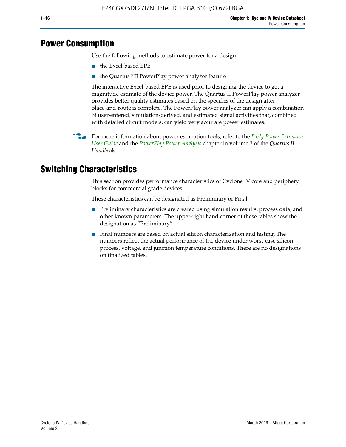# **Power Consumption**

Use the following methods to estimate power for a design:

- the Excel-based EPE
- the Quartus® II PowerPlay power analyzer feature

The interactive Excel-based EPE is used prior to designing the device to get a magnitude estimate of the device power. The Quartus II PowerPlay power analyzer provides better quality estimates based on the specifics of the design after place-and-route is complete. The PowerPlay power analyzer can apply a combination of user-entered, simulation-derived, and estimated signal activities that, combined with detailed circuit models, can yield very accurate power estimates.

f For more information about power estimation tools, refer to the *[Early Power Estimator](http://www.altera.com/literature/ug/ug_epe.pdf
)  [User Guide](http://www.altera.com/literature/ug/ug_epe.pdf
)* and the *[PowerPlay Power Analysis](http://www.altera.com/literature/hb/qts/qts_qii53013.pdf)* chapter in volume 3 of the *Quartus II Handboo*k.

# **Switching Characteristics**

This section provides performance characteristics of Cyclone IV core and periphery blocks for commercial grade devices.

These characteristics can be designated as Preliminary or Final.

- Preliminary characteristics are created using simulation results, process data, and other known parameters. The upper-right hand corner of these tables show the designation as "Preliminary".
- Final numbers are based on actual silicon characterization and testing. The numbers reflect the actual performance of the device under worst-case silicon process, voltage, and junction temperature conditions. There are no designations on finalized tables.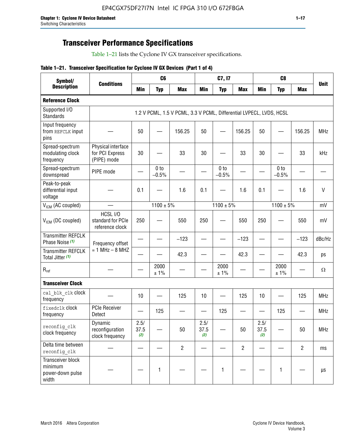# **Transceiver Performance Specifications**

Table 1–21 lists the Cyclone IV GX transceiver specifications.

|  |  | Table 1-21. Transceiver Specification for Cyclone IV GX Devices (Part 1 of 4) |  |
|--|--|-------------------------------------------------------------------------------|--|
|--|--|-------------------------------------------------------------------------------|--|

| Symbol/                                                   |                                                      |                     | C <sub>6</sub>             |                                                                     |                     | C7, I7                     |                   |                     | C <sub>8</sub>             |                |              |
|-----------------------------------------------------------|------------------------------------------------------|---------------------|----------------------------|---------------------------------------------------------------------|---------------------|----------------------------|-------------------|---------------------|----------------------------|----------------|--------------|
| <b>Description</b>                                        | <b>Conditions</b>                                    | <b>Min</b>          | <b>Typ</b>                 | <b>Max</b>                                                          | <b>Min</b>          | <b>Typ</b>                 | <b>Max</b>        | <b>Min</b>          | <b>Typ</b>                 | <b>Max</b>     | <b>Unit</b>  |
| <b>Reference Clock</b>                                    |                                                      |                     |                            |                                                                     |                     |                            |                   |                     |                            |                |              |
| Supported I/O<br><b>Standards</b>                         |                                                      |                     |                            | 1.2 V PCML, 1.5 V PCML, 3.3 V PCML, Differential LVPECL, LVDS, HCSL |                     |                            |                   |                     |                            |                |              |
| Input frequency<br>from REFCLK input<br>pins              |                                                      | 50                  |                            | 156.25                                                              | 50                  |                            | 156.25            | 50                  |                            | 156.25         | <b>MHz</b>   |
| Spread-spectrum<br>modulating clock<br>frequency          | Physical interface<br>for PCI Express<br>(PIPE) mode | 30                  |                            | 33                                                                  | 30                  |                            | 33                | 30                  |                            | 33             | kHz          |
| Spread-spectrum<br>downspread                             | PIPE mode                                            |                     | 0 <sub>to</sub><br>$-0.5%$ |                                                                     |                     | 0 <sub>to</sub><br>$-0.5%$ |                   |                     | 0 <sub>to</sub><br>$-0.5%$ |                |              |
| Peak-to-peak<br>differential input<br>voltage             |                                                      | 0.1                 |                            | 1.6                                                                 | 0.1                 |                            | 1.6               | 0.1                 |                            | 1.6            | $\mathsf{V}$ |
| V <sub>ICM</sub> (AC coupled)                             |                                                      |                     | $1100 \pm 5\%$             |                                                                     |                     | $1100 \pm 5\%$             |                   |                     | $1100 \pm 5\%$             |                | mV           |
| $V_{ICM}$ (DC coupled)                                    | HCSL I/O<br>standard for PCIe<br>reference clock     | 250                 |                            | 550                                                                 | 250                 |                            | 550               | 250                 |                            | 550            | mV           |
| <b>Transmitter REFCLK</b><br>Phase Noise (1)              | Frequency offset                                     |                     |                            | $-123$                                                              |                     |                            | $-123$            |                     |                            | $-123$         | dBc/Hz       |
| <b>Transmitter REFCLK</b><br>Total Jitter (1)             | $= 1$ MHz $- 8$ MHZ                                  |                     |                            | 42.3                                                                |                     |                            | 42.3              |                     |                            | 42.3           | ps           |
| $\mathsf{R}_{\mathsf{ref}}$                               |                                                      |                     | 2000<br>± 1%               |                                                                     |                     | 2000<br>± 1%               |                   |                     | 2000<br>± 1%               |                | Ω            |
| <b>Transceiver Clock</b>                                  |                                                      |                     |                            |                                                                     |                     |                            |                   |                     |                            |                |              |
| cal blk clk clock<br>frequency                            |                                                      | 10                  |                            | 125                                                                 | 10                  |                            | 125               | 10                  | $\overline{\phantom{0}}$   | 125            | MHz          |
| fixedclk clock<br>frequency                               | <b>PCIe Receiver</b><br>Detect                       | $\hspace{0.05cm}$   | 125                        |                                                                     |                     | 125                        | $\hspace{0.05cm}$ | —                   | 125                        |                | <b>MHz</b>   |
| reconfig_clk<br>clock frequency                           | Dynamic<br>reconfiguration<br>clock frequency        | 2.5/<br>37.5<br>(2) |                            | 50                                                                  | 2.5/<br>37.5<br>(2) |                            | 50                | 2.5/<br>37.5<br>(2) |                            | 50             | <b>MHz</b>   |
| Delta time between<br>reconfig clk                        |                                                      |                     |                            | $\overline{2}$                                                      |                     |                            | $\overline{2}$    |                     |                            | $\overline{2}$ | ms           |
| Transceiver block<br>minimum<br>power-down pulse<br>width |                                                      |                     | $\mathbf{1}$               |                                                                     |                     | 1                          |                   |                     | $\mathbf{1}$               |                | $\mu s$      |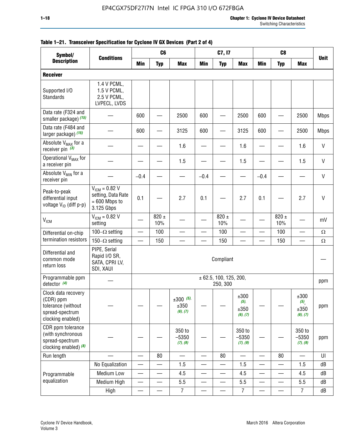| Symbol/                                                                                        |                                                                           | C <sub>8</sub><br>C <sub>6</sub><br>C7, I7<br><b>Min</b><br><b>Min</b><br><b>Max</b><br><b>Max</b><br><b>Min</b><br><b>Max</b> |                  |                                    |                          |                                    |                                     |                          |                          |                                                |              |
|------------------------------------------------------------------------------------------------|---------------------------------------------------------------------------|--------------------------------------------------------------------------------------------------------------------------------|------------------|------------------------------------|--------------------------|------------------------------------|-------------------------------------|--------------------------|--------------------------|------------------------------------------------|--------------|
| <b>Description</b>                                                                             | <b>Conditions</b>                                                         |                                                                                                                                | <b>Typ</b>       |                                    |                          | <b>Typ</b>                         |                                     |                          | <b>Typ</b>               |                                                | <b>Unit</b>  |
| <b>Receiver</b>                                                                                |                                                                           |                                                                                                                                |                  |                                    |                          |                                    |                                     |                          |                          |                                                |              |
| Supported I/O<br>Standards                                                                     | 1.4 V PCML,<br>1.5 V PCML,<br>2.5 V PCML,<br>LVPECL, LVDS                 |                                                                                                                                |                  |                                    |                          |                                    |                                     |                          |                          |                                                |              |
| Data rate (F324 and<br>smaller package) (15)                                                   |                                                                           | 600                                                                                                                            |                  | 2500                               | 600                      |                                    | 2500                                | 600                      |                          | 2500                                           | <b>Mbps</b>  |
| Data rate (F484 and<br>larger package) (15)                                                    |                                                                           | 600                                                                                                                            |                  | 3125                               | 600                      |                                    | 3125                                | 600                      | -                        | 2500                                           | <b>Mbps</b>  |
| Absolute V <sub>MAX</sub> for a<br>receiver pin $(3)$                                          |                                                                           |                                                                                                                                |                  | 1.6                                |                          |                                    | 1.6                                 |                          |                          | 1.6                                            | V            |
| Operational V <sub>MAX</sub> for<br>a receiver pin                                             |                                                                           |                                                                                                                                |                  | 1.5                                |                          |                                    | 1.5                                 |                          |                          | 1.5                                            | $\mathsf{V}$ |
| Absolute V <sub>MIN</sub> for a<br>receiver pin                                                |                                                                           | $-0.4$                                                                                                                         |                  |                                    | $-0.4$                   |                                    |                                     | $-0.4$                   |                          |                                                | V            |
| Peak-to-peak<br>differential input<br>voltage V <sub>ID</sub> (diff p-p)                       | $V_{ICM} = 0.82 V$<br>setting, Data Rate<br>$= 600$ Mbps to<br>3.125 Gbps | 0.1                                                                                                                            |                  | 2.7                                | 0.1                      |                                    | 2.7                                 | 0.1                      |                          | 2.7                                            | $\mathsf{V}$ |
| <b>V<sub>ICM</sub></b>                                                                         | $V_{IGM} = 0.82 V$<br>setting                                             |                                                                                                                                | 820 $\pm$<br>10% |                                    |                          | $820 \pm$<br>10%                   |                                     |                          | $820 \pm$<br>10%         |                                                | mV           |
| Differential on-chip                                                                           | 100 $-\Omega$ setting                                                     |                                                                                                                                | 100              |                                    |                          | 100                                |                                     |                          | 100                      |                                                | $\Omega$     |
| termination resistors                                                                          | 150 $-\Omega$ setting                                                     |                                                                                                                                | 150              |                                    |                          | 150                                |                                     |                          | 150                      |                                                | Ω            |
| Differential and<br>common mode<br>return loss                                                 | PIPE, Serial<br>Rapid I/O SR,<br>SATA, CPRI LV,<br>SDI, XAUI              |                                                                                                                                |                  |                                    |                          | Compliant                          |                                     |                          |                          |                                                |              |
| Programmable ppm<br>detector $(4)$                                                             |                                                                           |                                                                                                                                |                  |                                    |                          | ± 62.5, 100, 125, 200,<br>250, 300 |                                     |                          |                          |                                                | ppm          |
| Clock data recovery<br>(CDR) ppm<br>tolerance (without<br>spread-spectrum<br>clocking enabled) |                                                                           |                                                                                                                                |                  | $\pm 300$ (5),<br>±350<br>(6), (7) |                          |                                    | ±300<br>$(5)$ ,<br>±350<br>(6), (7) |                          |                          | ±300<br>$(5)$ <sub>,</sub><br>±350<br>(6), (7) | ppm          |
| CDR ppm tolerance<br>(with synchronous<br>spread-spectrum<br>clocking enabled) (8)             |                                                                           |                                                                                                                                |                  | 350 to<br>$-5350$<br>(7), (9)      |                          |                                    | 350 to<br>$-5350$<br>(7), (9)       |                          |                          | 350 to<br>$-5350$<br>(7), (9)                  | ppm          |
| Run length                                                                                     |                                                                           |                                                                                                                                | 80               |                                    |                          | 80                                 |                                     |                          | 80                       |                                                | UI           |
|                                                                                                | No Equalization                                                           | $\overline{\phantom{0}}$                                                                                                       |                  | 1.5                                | $\overline{\phantom{0}}$ | <u>—</u>                           | 1.5                                 | $\overline{\phantom{0}}$ | $\overline{\phantom{0}}$ | 1.5                                            | dB           |
| Programmable                                                                                   | <b>Medium Low</b>                                                         |                                                                                                                                | —                | 4.5                                |                          | —                                  | 4.5                                 |                          | $\qquad \qquad$          | 4.5                                            | dB           |
| equalization                                                                                   | Medium High                                                               |                                                                                                                                |                  | 5.5                                |                          |                                    | 5.5                                 | $\overline{\phantom{0}}$ |                          | 5.5                                            | dB           |
|                                                                                                | High                                                                      |                                                                                                                                |                  | $\overline{7}$                     | $\overline{\phantom{0}}$ |                                    | $\boldsymbol{7}$                    | $\overline{\phantom{0}}$ |                          | $\overline{7}$                                 | dB           |

### **Table 1–21. Transceiver Specification for Cyclone IV GX Devices (Part 2 of 4)**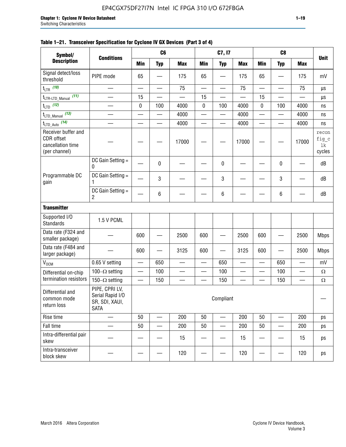| Symbol/                                                                 |                                                                     |                          | C <sub>6</sub>           |                          |                          | C7, I7                   |               |                          | C <sub>8</sub>           |            |                                |
|-------------------------------------------------------------------------|---------------------------------------------------------------------|--------------------------|--------------------------|--------------------------|--------------------------|--------------------------|---------------|--------------------------|--------------------------|------------|--------------------------------|
| <b>Description</b>                                                      | <b>Conditions</b>                                                   | <b>Min</b>               | <b>Typ</b>               | <b>Max</b>               | <b>Min</b>               | <b>Typ</b>               | <b>Max</b>    | <b>Min</b>               | <b>Typ</b>               | <b>Max</b> | <b>Unit</b>                    |
| Signal detect/loss<br>threshold                                         | PIPE mode                                                           | 65                       |                          | 175                      | 65                       |                          | 175           | 65                       |                          | 175        | mV                             |
| $t_{LTR}$ (10)                                                          |                                                                     |                          |                          | 75                       |                          |                          | 75            |                          |                          | 75         | μs                             |
| (11)<br>$t_{\text{LTR-LTD\_Mannual}}$                                   |                                                                     | 15                       | $\overline{\phantom{0}}$ |                          | 15                       | $\overline{\phantom{0}}$ |               | 15                       |                          |            | μs                             |
| $t_{LTD}$ (12)                                                          | $\overline{\phantom{0}}$                                            | 0                        | 100                      | 4000                     | 0                        | 100                      | 4000          | 0                        | 100                      | 4000       | ns                             |
| $t_{\text{LTD\_Manual}}$ (13)                                           | $\overline{\phantom{0}}$                                            |                          | $\overline{\phantom{0}}$ | 4000                     | $\overline{\phantom{0}}$ | $\overline{\phantom{0}}$ | 4000          | $\overline{\phantom{0}}$ | $\qquad \qquad$          | 4000       | ns                             |
| $t_{\text{LTD\_Auto}}$ (14)                                             |                                                                     |                          | $\overline{\phantom{0}}$ | 4000                     | —                        | $\overline{\phantom{0}}$ | 4000          | —                        | $\overline{\phantom{0}}$ | 4000       | ns                             |
| Receiver buffer and<br>CDR offset<br>cancellation time<br>(per channel) |                                                                     |                          |                          | 17000                    |                          |                          | 17000         |                          |                          | 17000      | recon<br>fig_c<br>lk<br>cycles |
|                                                                         | DC Gain Setting =<br>0                                              |                          | 0                        |                          |                          | 0                        |               |                          | 0                        |            | dB                             |
| Programmable DC<br>gain                                                 | DC Gain Setting =<br>1                                              |                          | 3                        |                          |                          | 3                        |               |                          | 3                        |            | dB                             |
|                                                                         | DC Gain Setting =<br>2                                              |                          | 6                        |                          |                          | 6                        |               |                          | 6                        |            | dB                             |
| <b>Transmitter</b>                                                      |                                                                     |                          |                          |                          |                          |                          |               |                          |                          |            |                                |
| Supported I/O<br>Standards                                              | 1.5 V PCML                                                          |                          |                          |                          |                          |                          |               |                          |                          |            |                                |
| Data rate (F324 and<br>smaller package)                                 |                                                                     | 600                      |                          | 2500                     | 600                      |                          | 2500          | 600                      |                          | 2500       | <b>Mbps</b>                    |
| Data rate (F484 and<br>larger package)                                  |                                                                     | 600                      |                          | 3125                     | 600                      |                          | 3125          | 600                      |                          | 2500       | <b>Mbps</b>                    |
| V <sub>OCM</sub>                                                        | 0.65 V setting                                                      | $\overline{\phantom{0}}$ | 650                      | $\overline{\phantom{0}}$ | $\overline{\phantom{0}}$ | 650                      | $\frac{1}{2}$ | $\overline{\phantom{0}}$ | 650                      |            | mV                             |
| Differential on-chip                                                    | 100 $-\Omega$ setting                                               |                          | 100                      |                          |                          | 100                      |               | —                        | 100                      |            | $\Omega$                       |
| termination resistors                                                   | 150 $-\Omega$ setting                                               |                          | 150                      | —                        |                          | 150                      |               | $\sim$                   | 150                      |            | $\Omega$                       |
| Differential and<br>common mode<br>return loss                          | PIPE, CPRI LV,<br>Serial Rapid I/O<br>SR, SDI, XAUI,<br><b>SATA</b> |                          |                          |                          |                          | Compliant                |               |                          |                          |            |                                |
| Rise time                                                               | $\overline{\phantom{0}}$                                            | 50                       | $\overline{\phantom{0}}$ | 200                      | 50                       | $\overline{\phantom{0}}$ | 200           | 50                       | $\overline{\phantom{0}}$ | 200        | ps                             |
| Fall time                                                               |                                                                     | 50                       | —<br>—                   | 200                      | 50                       | $\overline{\phantom{0}}$ | 200           | 50                       |                          | 200        | ps                             |
| Intra-differential pair<br>skew                                         |                                                                     |                          |                          | 15                       |                          |                          | 15            |                          |                          | 15         | ps                             |
| Intra-transceiver<br>block skew                                         |                                                                     |                          |                          | 120                      |                          |                          | 120           |                          |                          | 120        | ps                             |

#### **Table 1–21. Transceiver Specification for Cyclone IV GX Devices (Part 3 of 4)**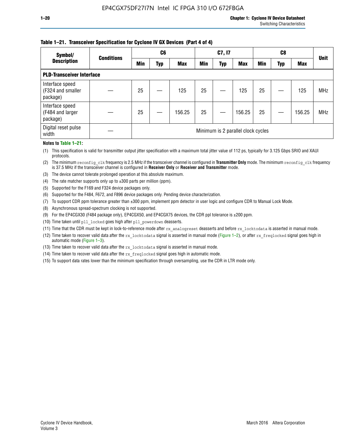#### **Table 1–21. Transceiver Specification for Cyclone IV GX Devices (Part 4 of 4)**

| Symbol/                                          | <b>Conditions</b> | C <sub>6</sub> |     |            | C7, I7     |            |                                    | C8         |     |            | <b>Unit</b> |
|--------------------------------------------------|-------------------|----------------|-----|------------|------------|------------|------------------------------------|------------|-----|------------|-------------|
| <b>Description</b>                               |                   | <b>Min</b>     | Typ | <b>Max</b> | <b>Min</b> | <b>Typ</b> | <b>Max</b>                         | <b>Min</b> | Typ | <b>Max</b> |             |
| <b>PLD-Transceiver Interface</b>                 |                   |                |     |            |            |            |                                    |            |     |            |             |
| Interface speed<br>(F324 and smaller<br>package) |                   | 25             |     | 125        | 25         |            | 125                                | 25         |     | 125        | <b>MHz</b>  |
| Interface speed<br>(F484 and larger<br>package)  |                   | 25             |     | 156.25     | 25         |            | 156.25                             | 25         |     | 156.25     | <b>MHz</b>  |
| Digital reset pulse<br>width                     |                   |                |     |            |            |            | Minimum is 2 parallel clock cycles |            |     |            |             |

#### **Notes to Table 1–21:**

(1) This specification is valid for transmitter output jitter specification with a maximum total jitter value of 112 ps, typically for 3.125 Gbps SRIO and XAUI protocols.

(2) The minimum reconfig\_clk frequency is 2.5 MHz if the transceiver channel is configured in **Transmitter Only** mode. The minimum reconfig\_clk frequency is 37.5 MHz if the transceiver channel is configured in **Receiver Only** or **Receiver and Transmitter** mode.

(3) The device cannot tolerate prolonged operation at this absolute maximum.

- (4) The rate matcher supports only up to  $\pm 300$  parts per million (ppm).
- (5) Supported for the F169 and F324 device packages only.
- (6) Supported for the F484, F672, and F896 device packages only. Pending device characterization.
- (7) To support CDR ppm tolerance greater than ±300 ppm, implement ppm detector in user logic and configure CDR to Manual Lock Mode.
- (8) Asynchronous spread-spectrum clocking is not supported.
- (9) For the EP4CGX30 (F484 package only), EP4CGX50, and EP4CGX75 devices, the CDR ppl tolerance is ±200 ppm.
- (10) Time taken until pll\_locked goes high after pll\_powerdown deasserts.
- (11) Time that the CDR must be kept in lock-to-reference mode after rx analogreset deasserts and before rx locktodata is asserted in manual mode.

(12) Time taken to recover valid data after the rx locktodata signal is asserted in manual mode (Figure 1–2), or after rx freqlocked signal goes high in automatic mode (Figure 1–3).

(13) Time taken to recover valid data after the rx locktodata signal is asserted in manual mode.

- (14) Time taken to recover valid data after the rx freqlocked signal goes high in automatic mode.
- (15) To support data rates lower than the minimum specification through oversampling, use the CDR in LTR mode only.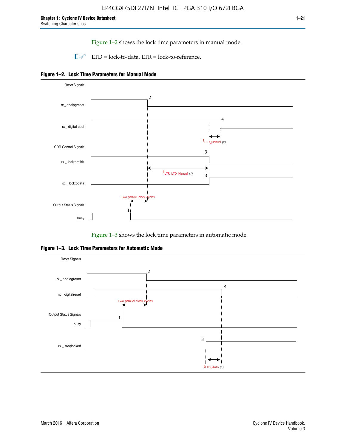Figure 1–2 shows the lock time parameters in manual mode.

 $\Box$  LTD = lock-to-data. LTR = lock-to-reference.





Figure 1–3 shows the lock time parameters in automatic mode.

**Figure 1–3. Lock Time Parameters for Automatic Mode**

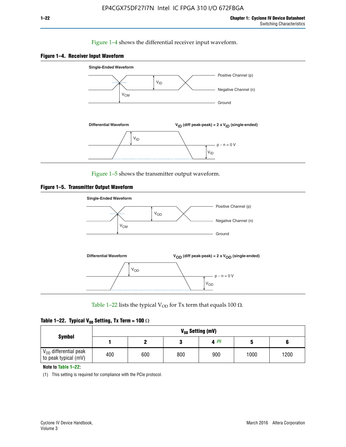#### Figure 1–4 shows the differential receiver input waveform.





Figure 1–5 shows the transmitter output waveform.





Table 1–22 lists the typical V<sub>OD</sub> for Tx term that equals 100  $\Omega$ .

| Table 1–22. Typical V <sub>0D</sub> Setting, Tx Term = 100 $\Omega$ |  |  |  |  |  |  |  |
|---------------------------------------------------------------------|--|--|--|--|--|--|--|
|---------------------------------------------------------------------|--|--|--|--|--|--|--|

|                                                        |     |     |     | V <sub>on</sub> Setting (mV) |      |      |
|--------------------------------------------------------|-----|-----|-----|------------------------------|------|------|
| <b>Symbol</b>                                          |     |     |     | 4(1)                         |      |      |
| $\rm V_{OD}$ differential peak<br>to peak typical (mV) | 400 | 600 | 800 | 900                          | 1000 | 1200 |

**Note to Table 1–22:**

(1) This setting is required for compliance with the PCIe protocol.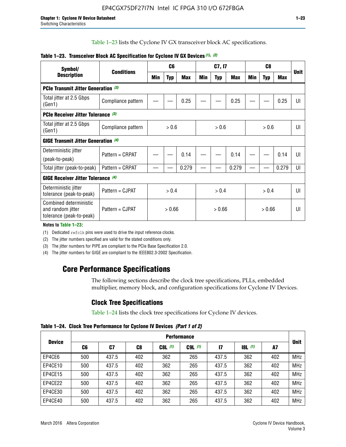Table 1–23 lists the Cyclone IV GX transceiver block AC specifications.

| Symbol/                                                                 | <b>Conditions</b>  |       | C <sub>6</sub> |            |        | C7, I7     |       |        | <b>Unit</b> |            |                |
|-------------------------------------------------------------------------|--------------------|-------|----------------|------------|--------|------------|-------|--------|-------------|------------|----------------|
| <b>Description</b>                                                      |                    | Min   | <b>Typ</b>     | <b>Max</b> | Min    | <b>Typ</b> | Max   | Min    | <b>Typ</b>  | <b>Max</b> |                |
| <b>PCIe Transmit Jitter Generation (3)</b>                              |                    |       |                |            |        |            |       |        |             |            |                |
| Total jitter at 2.5 Gbps<br>(Gen1)                                      | Compliance pattern |       |                | 0.25       |        |            | 0.25  |        |             | 0.25       | UI             |
| <b>PCIe Receiver Jitter Tolerance (3)</b>                               |                    |       |                |            |        |            |       |        |             |            |                |
| Total jitter at 2.5 Gbps<br>(Gen1)                                      | Compliance pattern | > 0.6 |                |            | > 0.6  |            |       | > 0.6  |             |            | UI             |
| <b>GIGE Transmit Jitter Generation (4)</b>                              |                    |       |                |            |        |            |       |        |             |            |                |
| Deterministic jitter                                                    | Pattern = CRPAT    |       |                | 0.14       |        |            | 0.14  |        |             | 0.14       | UI             |
| (peak-to-peak)                                                          |                    |       |                |            |        |            |       |        |             |            |                |
| Total jitter (peak-to-peak)                                             | Pattern = CRPAT    |       |                | 0.279      |        |            | 0.279 |        |             | 0.279      | UI             |
| <b>GIGE Receiver Jitter Tolerance</b> (4)                               |                    |       |                |            |        |            |       |        |             |            |                |
| Deterministic jitter<br>tolerance (peak-to-peak)                        | Pattern = CJPAT    | > 0.4 |                |            |        | > 0.4      |       | > 0.4  |             |            | $\mathsf{III}$ |
| Combined deterministic<br>and random jitter<br>tolerance (peak-to-peak) | Pattern = CJPAT    |       | > 0.66         |            | > 0.66 |            |       | > 0.66 |             |            | UI             |

#### **Table 1–23. Transceiver Block AC Specification for Cyclone IV GX Devices** *(1)***,** *(2)*

**Notes to Table 1–23:**

(1) Dedicated refclk pins were used to drive the input reference clocks.

(2) The jitter numbers specified are valid for the stated conditions only.

(3) The jitter numbers for PIPE are compliant to the PCIe Base Specification 2.0.

(4) The jitter numbers for GIGE are compliant to the IEEE802.3-2002 Specification.

# **Core Performance Specifications**

The following sections describe the clock tree specifications, PLLs, embedded multiplier, memory block, and configuration specifications for Cyclone IV Devices.

# **Clock Tree Specifications**

Table 1–24 lists the clock tree specifications for Cyclone IV devices.

**Table 1–24. Clock Tree Performance for Cyclone IV Devices** *(Part 1 of 2)*

| <b>Device</b> |     | <b>Performance</b> |     |           |             |       |       |     |             |  |  |  |  |  |  |
|---------------|-----|--------------------|-----|-----------|-------------|-------|-------|-----|-------------|--|--|--|--|--|--|
|               | C6  | C7                 | C8  | $C8L$ (1) | $C9L$ $(1)$ | 17    | 8L(1) | A7  | <b>Unit</b> |  |  |  |  |  |  |
| EP4CE6        | 500 | 437.5              | 402 | 362       | 265         | 437.5 | 362   | 402 | <b>MHz</b>  |  |  |  |  |  |  |
| EP4CE10       | 500 | 437.5              | 402 | 362       | 265         | 437.5 | 362   | 402 | <b>MHz</b>  |  |  |  |  |  |  |
| EP4CE15       | 500 | 437.5              | 402 | 362       | 265         | 437.5 | 362   | 402 | <b>MHz</b>  |  |  |  |  |  |  |
| EP4CE22       | 500 | 437.5              | 402 | 362       | 265         | 437.5 | 362   | 402 | <b>MHz</b>  |  |  |  |  |  |  |
| EP4CE30       | 500 | 437.5              | 402 | 362       | 265         | 437.5 | 362   | 402 | <b>MHz</b>  |  |  |  |  |  |  |
| EP4CE40       | 500 | 437.5              | 402 | 362       | 265         | 437.5 | 362   | 402 | <b>MHz</b>  |  |  |  |  |  |  |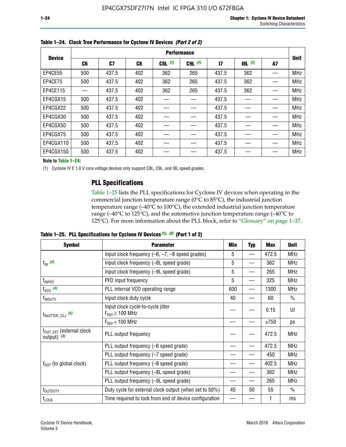|               |     |       |     |           | <b>Performance</b> |               |           |    |             |
|---------------|-----|-------|-----|-----------|--------------------|---------------|-----------|----|-------------|
| <b>Device</b> | C6  | C7    | C8  | $C8L$ (1) | $C9L$ $(1)$        | $\mathsf{I}7$ | $18L$ (1) | A7 | <b>Unit</b> |
| EP4CE55       | 500 | 437.5 | 402 | 362       | 265                | 437.5         | 362       |    | <b>MHz</b>  |
| EP4CE75       | 500 | 437.5 | 402 | 362       | 265                | 437.5         | 362       |    | <b>MHz</b>  |
| EP4CE115      |     | 437.5 | 402 | 362       | 265                | 437.5         | 362       |    | <b>MHz</b>  |
| EP4CGX15      | 500 | 437.5 | 402 |           |                    | 437.5         |           |    | <b>MHz</b>  |
| EP4CGX22      | 500 | 437.5 | 402 |           |                    | 437.5         |           |    | <b>MHz</b>  |
| EP4CGX30      | 500 | 437.5 | 402 |           |                    | 437.5         |           |    | <b>MHz</b>  |
| EP4CGX50      | 500 | 437.5 | 402 |           |                    | 437.5         |           |    | <b>MHz</b>  |
| EP4CGX75      | 500 | 437.5 | 402 |           |                    | 437.5         |           |    | <b>MHz</b>  |
| EP4CGX110     | 500 | 437.5 | 402 |           |                    | 437.5         |           |    | <b>MHz</b>  |
| EP4CGX150     | 500 | 437.5 | 402 |           |                    | 437.5         |           |    | <b>MHz</b>  |

**Table 1–24. Clock Tree Performance for Cyclone IV Devices** *(Part 2 of 2)*

**Note to Table 1–24:**

(1) Cyclone IV E 1.0 V core voltage devices only support C8L, C9L, and I8L speed grades.

## **PLL Specifications**

Table 1–25 lists the PLL specifications for Cyclone IV devices when operating in the commercial junction temperature range (0°C to 85°C), the industrial junction temperature range (–40°C to 100°C), the extended industrial junction temperature range (–40°C to 125°C), and the automotive junction temperature range (–40°C to 125°C). For more information about the PLL block, refer to "Glossary" on page 1–37.

|  |  | Table 1–25. PLL Specifications for Cyclone IV Devices $(1)$ , $(2)$ (Part 1 of 2) |  |
|--|--|-----------------------------------------------------------------------------------|--|
|--|--|-----------------------------------------------------------------------------------|--|

| <b>Symbol</b>                                          | <b>Parameter</b>                                            | Min      | <b>Typ</b>               | <b>Max</b> | <b>Unit</b>   |
|--------------------------------------------------------|-------------------------------------------------------------|----------|--------------------------|------------|---------------|
|                                                        | Input clock frequency $(-6, -7, -8)$ speed grades)          | 5        | $\qquad \qquad$          | 472.5      | <b>MHz</b>    |
| $f_{\text{IN}}(3)$                                     | Input clock frequency (-8L speed grade)                     | 5        |                          | 362        | <b>MHz</b>    |
|                                                        | Input clock frequency (-9L speed grade)                     | 5        |                          | 265        | <b>MHz</b>    |
| f <sub>INPFD</sub>                                     | PFD input frequency                                         | 5        | $\overline{\phantom{0}}$ | 325        | <b>MHz</b>    |
| $f_{VCO}$ (4)                                          | PLL internal VCO operating range                            | 600      |                          | 1300       | <b>MHz</b>    |
| f <sub>INDUTY</sub>                                    | Input clock duty cycle                                      | 40       |                          | 60         | $\frac{0}{0}$ |
| $t_{\text{INJITTER\_CCJ}}$ (5)                         | Input clock cycle-to-cycle jitter<br>$F_{REF} \geq 100$ MHz |          |                          | 0.15       | UI            |
|                                                        | $F_{RFF}$ < 100 MHz                                         |          |                          | ±750       | ps            |
| $f_{\text{OUT\_EXT}}$ (external clock<br>output) $(3)$ | PLL output frequency                                        |          |                          | 472.5      | <b>MHz</b>    |
|                                                        | PLL output frequency (-6 speed grade)                       |          |                          | 472.5      | <b>MHz</b>    |
|                                                        | PLL output frequency (-7 speed grade)                       |          |                          | 450        | <b>MHz</b>    |
| $f_{OUT}$ (to global clock)                            | PLL output frequency (-8 speed grade)                       |          |                          | 402.5      | <b>MHz</b>    |
|                                                        | PLL output frequency (-8L speed grade)                      |          |                          | 362        | <b>MHz</b>    |
|                                                        | PLL output frequency (-9L speed grade)                      | 45<br>50 | 265                      | <b>MHz</b> |               |
| t <sub>outduty</sub>                                   | Duty cycle for external clock output (when set to 50%)      |          |                          | 55         | $\frac{0}{0}$ |
| $t_{\text{LOCK}}$                                      | Time required to lock from end of device configuration      |          |                          |            | ms            |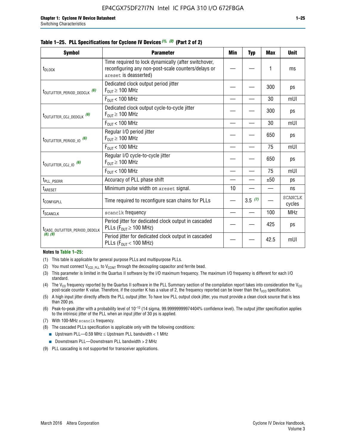#### **Table 1–25. PLL Specifications for Cyclone IV Devices** *(1), (2)* **(Part 2 of 2)**

| <b>Symbol</b>                                | <b>Parameter</b>                                                                                                                     | Min                                                   | <b>Typ</b> | <b>Max</b> | <b>Unit</b>              |
|----------------------------------------------|--------------------------------------------------------------------------------------------------------------------------------------|-------------------------------------------------------|------------|------------|--------------------------|
| t <sub>DLOCK</sub>                           | Time required to lock dynamically (after switchover,<br>reconfiguring any non-post-scale counters/delays or<br>areset is deasserted) |                                                       |            | 1          | ms                       |
| t <sub>outjitter_period_dedclk</sub> (6)     | Dedicated clock output period jitter<br>$F_{\text{OUT}} \geq 100 \text{ MHz}$                                                        |                                                       |            | 300        | ps                       |
|                                              | $F_{OUT}$ < 100 MHz                                                                                                                  |                                                       |            | 30         | mUI                      |
| t <sub>outjitter_ccj_dedclk</sub> (6)        | Dedicated clock output cycle-to-cycle jitter<br>$F_{\text{OUT}} \geq 100 \text{ MHz}$                                                |                                                       |            | 300        | ps                       |
|                                              | $F_{\text{OUT}}$ < 100 MHz                                                                                                           |                                                       |            | 30         | mUI                      |
| $t_{\text{OUTJITTER}_P \text{ERIOD}_10}$ (6) | Regular I/O period jitter<br>$F_{OIII} \geq 100$ MHz                                                                                 |                                                       |            | 650        | ps                       |
|                                              | $F_{OUT}$ < 100 MHz                                                                                                                  |                                                       |            | 75         | mUI                      |
| t <sub>outjitter_ccj_io</sub> (6)            | Regular I/O cycle-to-cycle jitter<br>$F_{OUT} \geq 100$ MHz                                                                          |                                                       |            | 650        | ps                       |
|                                              | $F_{OIII}$ < 100 MHz                                                                                                                 | 75<br>±50<br>ps<br>10<br>3.5(7)<br>100<br>425<br>42.5 | mUI        |            |                          |
| t <sub>PLL_PSERR</sub>                       | Accuracy of PLL phase shift                                                                                                          |                                                       |            |            |                          |
| t <sub>areset</sub>                          | Minimum pulse width on areset signal.                                                                                                |                                                       |            |            | ns                       |
| <b><i>LCONFIGPLL</i></b>                     | Time required to reconfigure scan chains for PLLs                                                                                    |                                                       |            |            | <b>SCANCLK</b><br>cycles |
| f <sub>SCANCLK</sub>                         | scanclk frequency                                                                                                                    |                                                       |            |            | <b>MHz</b>               |
| t <sub>CASC_OUTJITTER_PERIOD_DEDCLK</sub>    | Period jitter for dedicated clock output in cascaded<br>PLLs ( $F_{OUT} \ge 100$ MHz)                                                |                                                       |            |            | ps                       |
| (8), (9)                                     | Period jitter for dedicated clock output in cascaded<br>PLLs ( $F_{OUT}$ < 100 MHz)                                                  |                                                       |            |            | mUI                      |

#### **Notes to Table 1–25:**

- (1) This table is applicable for general purpose PLLs and multipurpose PLLs.
- (2) You must connect  $V_{CCD-PLL}$  to  $V_{CCINT}$  through the decoupling capacitor and ferrite bead.
- (3) This parameter is limited in the Quartus II software by the I/O maximum frequency. The maximum I/O frequency is different for each I/O standard.
- (4) The  $V_{CO}$  frequency reported by the Quartus II software in the PLL Summary section of the compilation report takes into consideration the  $V_{CO}$ post-scale counter K value. Therefore, if the counter K has a value of 2, the frequency reported can be lower than the f<sub>VCO</sub> specification.
- (5) A high input jitter directly affects the PLL output jitter. To have low PLL output clock jitter, you must provide a clean clock source that is less than 200 ps.
- (6) Peak-to-peak jitter with a probability level of 10–12 (14 sigma, 99.99999999974404% confidence level). The output jitter specification applies to the intrinsic jitter of the PLL when an input jitter of 30 ps is applied.
- (7) With 100-MHz scanclk frequency.
- (8) The cascaded PLLs specification is applicable only with the following conditions:
	- **■** Upstream PLL—0.59 MHz  $\leq$  Upstream PLL bandwidth  $<$  1 MHz
	- Downstream PLL—Downstream PLL bandwidth > 2 MHz
- (9) PLL cascading is not supported for transceiver applications.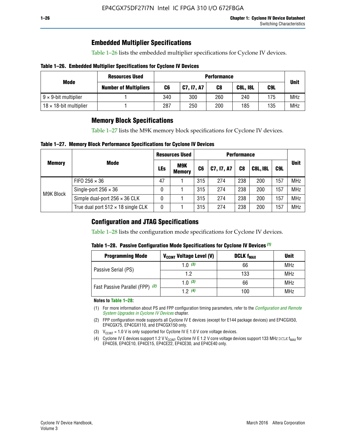# **Embedded Multiplier Specifications**

Table 1–26 lists the embedded multiplier specifications for Cyclone IV devices.

#### **Table 1–26. Embedded Multiplier Specifications for Cyclone IV Devices**

|                                | <b>Resources Used</b>        |     | <b>Performance</b> |     |                        |     |             |  |  |  |  |  |
|--------------------------------|------------------------------|-----|--------------------|-----|------------------------|-----|-------------|--|--|--|--|--|
| Mode                           | <b>Number of Multipliers</b> | C6  | C7, I7, A7         | C8  | C9L<br><b>C8L, I8L</b> |     | <b>Unit</b> |  |  |  |  |  |
| $9 \times 9$ -bit multiplier   |                              | 340 | 300                | 260 | 240                    | 175 | <b>MHz</b>  |  |  |  |  |  |
| $18 \times 18$ -bit multiplier |                              | 287 | 250                | 200 | 185                    | 135 | <b>MHz</b>  |  |  |  |  |  |

# **Memory Block Specifications**

Table 1–27 lists the M9K memory block specifications for Cyclone IV devices.

#### **Table 1–27. Memory Block Performance Specifications for Cyclone IV Devices**

|               |                                           |            | <b>Resources Used</b>       |                |            |                |                 |     |             |
|---------------|-------------------------------------------|------------|-----------------------------|----------------|------------|----------------|-----------------|-----|-------------|
| <b>Memory</b> | <b>Mode</b>                               | <b>LEs</b> | <b>M9K</b><br><b>Memory</b> | C <sub>6</sub> | C7, I7, A7 | C <sub>8</sub> | <b>C8L, I8L</b> | C9L | <b>Unit</b> |
|               | FIFO 256 $\times$ 36                      | 47         |                             | 315            | 274        | 238            | 200             | 157 | <b>MHz</b>  |
| M9K Block     | Single-port $256 \times 36$               | 0          |                             | 315            | 274        | 238            | 200             | 157 | <b>MHz</b>  |
|               | Simple dual-port $256 \times 36$ CLK      | 0          |                             | 315            | 274        | 238            | 200             | 157 | <b>MHz</b>  |
|               | True dual port $512 \times 18$ single CLK | 0          |                             | 315            | 274        | 238            | 200             | 157 | <b>MHz</b>  |

### **Configuration and JTAG Specifications**

Table 1–28 lists the configuration mode specifications for Cyclone IV devices.

#### **Table 1–28. Passive Configuration Mode Specifications for Cyclone IV Devices** *(1)*

| <b>Programming Mode</b>         | V <sub>CCINT</sub> Voltage Level (V) | <b>DCLK f<sub>MAX</sub></b> | <b>Unit</b> |
|---------------------------------|--------------------------------------|-----------------------------|-------------|
| Passive Serial (PS)             | 1.0 $(3)$                            | 66                          | MHz         |
|                                 | 1.2                                  | 133                         | MHz         |
| Fast Passive Parallel (FPP) (2) | 1.0 $(3)$                            | 66                          | <b>MHz</b>  |
|                                 | 12(4)                                | 100                         | <b>MHz</b>  |

#### **Notes to Table 1–28:**

- (1) For more information about PS and FPP configuration timing parameters, refer to the *[Configuration and Remote](http://www.altera.com/literature/hb/cyclone-iv/cyiv-51008.pdf)  [System Upgrades in Cyclone IV Devices](http://www.altera.com/literature/hb/cyclone-iv/cyiv-51008.pdf)* chapter.
- (2) FPP configuration mode supports all Cyclone IV E devices (except for E144 package devices) and EP4CGX50, EP4CGX75, EP4CGX110, and EP4CGX150 only.
- (3)  $V_{CCMT}$  = 1.0 V is only supported for Cyclone IV E 1.0 V core voltage devices.
- (4) Cyclone IV E devices support 1.2 V V<sub>CCINT</sub>. Cyclone IV E 1.2 V core voltage devices support 133 MHz DCLK f<sub>MAX</sub> for EP4CE6, EP4CE10, EP4CE15, EP4CE22, EP4CE30, and EP4CE40 only.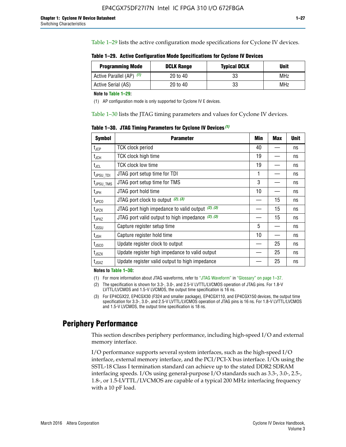Table 1–29 lists the active configuration mode specifications for Cyclone IV devices.

**Table 1–29. Active Configuration Mode Specifications for Cyclone IV Devices**

| <b>Programming Mode</b>  | <b>DCLK Range</b> | <b>Typical DCLK</b> | Unit |
|--------------------------|-------------------|---------------------|------|
| Active Parallel (AP) (1) | 20 to 40          | 33                  | MHz  |
| Active Serial (AS)       | 20 to 40          | 33                  | MHz  |

**Note to Table 1–29:**

(1) AP configuration mode is only supported for Cyclone IV E devices.

Table 1–30 lists the JTAG timing parameters and values for Cyclone IV devices.

**Table 1–30. JTAG Timing Parameters for Cyclone IV Devices** *(1)*

| <b>Symbol</b>         | <b>Parameter</b>                                       | Min | <b>Max</b> | <b>Unit</b> |
|-----------------------|--------------------------------------------------------|-----|------------|-------------|
| $t_{JCP}$             | <b>TCK clock period</b>                                | 40  |            | ns          |
| $t_{\rm JCH}$         | TCK clock high time                                    | 19  |            | ns          |
| $t_{JCL}$             | TCK clock low time                                     | 19  |            | ns          |
| $t_{JPSU\_TDI}$       | JTAG port setup time for TDI                           | 1   |            | ns          |
| t <sub>JPSU_TMS</sub> | JTAG port setup time for TMS                           | 3   |            | ns          |
| t <sub>JPH</sub>      | JTAG port hold time                                    | 10  |            | ns          |
| t <sub>JPCO</sub>     | JTAG port clock to output $(2)$ , $(3)$                |     | 15         | ns          |
| t <sub>JPZX</sub>     | JTAG port high impedance to valid output $(2)$ , $(3)$ |     | 15         | ns          |
| t <sub>JPXZ</sub>     | JTAG port valid output to high impedance $(2)$ , $(3)$ |     | 15         | ns          |
| $t_{\rm JSSU}$        | Capture register setup time                            | 5   |            | ns          |
| $t_{\mathsf{JSH}}$    | Capture register hold time                             | 10  |            | ns          |
| $t_{\rm JSCO}$        | Update register clock to output                        |     | 25         | ns          |
| $t_{\text{JSZX}}$     | Update register high impedance to valid output         |     | 25         | ns          |
| $t_{JSXZ}$            | Update register valid output to high impedance         |     | 25         | ns          |

**Notes to Table 1–30:**

(1) For more information about JTAG waveforms, refer to "JTAG Waveform" in "Glossary" on page 1–37.

(2) The specification is shown for 3.3-, 3.0-, and 2.5-V LVTTL/LVCMOS operation of JTAG pins. For 1.8-V LVTTL/LVCMOS and 1.5-V LVCMOS, the output time specification is 16 ns.

(3) For EP4CGX22, EP4CGX30 (F324 and smaller package), EP4CGX110, and EP4CGX150 devices, the output time specification for 3.3-, 3.0-, and 2.5-V LVTTL/LVCMOS operation of JTAG pins is 16 ns. For 1.8-V LVTTL/LVCMOS and 1.5-V LVCMOS, the output time specification is 18 ns.

# **Periphery Performance**

This section describes periphery performance, including high-speed I/O and external memory interface.

I/O performance supports several system interfaces, such as the high-speed I/O interface, external memory interface, and the PCI/PCI-X bus interface. I/Os using the SSTL-18 Class I termination standard can achieve up to the stated DDR2 SDRAM interfacing speeds. I/Os using general-purpose I/O standards such as 3.3-, 3.0-, 2.5-, 1.8-, or 1.5-LVTTL/LVCMOS are capable of a typical 200 MHz interfacing frequency with a 10 pF load.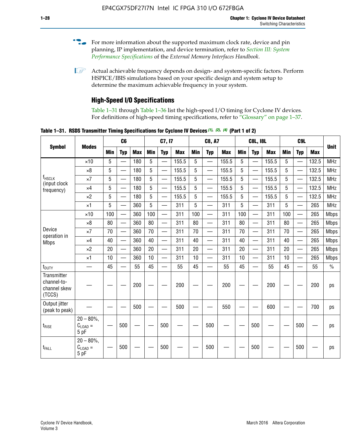- For more information about the supported maximum clock rate, device and pin planning, IP implementation, and device termination, refer to *[Section III: System](http://www.altera.com/literature/hb/external-memory/emi_intro_specs.pdf)  [Performance Specifications](http://www.altera.com/literature/hb/external-memory/emi_intro_specs.pdf)* of the *External Memory Interfaces Handbook*.
- **1 Actual achievable frequency depends on design- and system-specific factors. Perform** HSPICE/IBIS simulations based on your specific design and system setup to determine the maximum achievable frequency in your system.

# **High-Speed I/O Specifications**

Table 1–31 through Table 1–36 list the high-speed I/O timing for Cyclone IV devices. For definitions of high-speed timing specifications, refer to "Glossary" on page 1–37.

**Table 1–31. RSDS Transmitter Timing Specifications for Cyclone IV Devices** *(1)***,** *(2)***,** *(4)* **(Part 1 of 2)**

|                                                      |                                     |            | C6                       |            |            | C7, I7                   |            |                 | <b>C8, A7</b>            |            |            | <b>C8L, I8L</b>          |            | C <sub>9</sub> L |                          |            |             |
|------------------------------------------------------|-------------------------------------|------------|--------------------------|------------|------------|--------------------------|------------|-----------------|--------------------------|------------|------------|--------------------------|------------|------------------|--------------------------|------------|-------------|
| <b>Symbol</b>                                        | <b>Modes</b>                        | <b>Min</b> | <b>Typ</b>               | <b>Max</b> | <b>Min</b> | <b>Typ</b>               | <b>Max</b> | <b>Min</b>      | <b>Typ</b>               | <b>Max</b> | <b>Min</b> | <b>Typ</b>               | <b>Max</b> | Min              | <b>Typ</b>               | <b>Max</b> | <b>Unit</b> |
|                                                      | $\times$ 10                         | 5          | $\overline{\phantom{0}}$ | 180        | 5          | —                        | 155.5      | 5               | $\overline{\phantom{0}}$ | 155.5      | 5          |                          | 155.5      | 5                |                          | 132.5      | <b>MHz</b>  |
|                                                      | $\times 8$                          | 5          |                          | 180        | 5          |                          | 155.5      | $5\phantom{.0}$ | $\overline{\phantom{0}}$ | 155.5      | 5          |                          | 155.5      | 5                |                          | 132.5      | <b>MHz</b>  |
| f <sub>HSCLK</sub><br>(input clock                   | $\times 7$                          | 5          | $\overline{\phantom{0}}$ | 180        | 5          |                          | 155.5      | 5               | $\overline{\phantom{0}}$ | 155.5      | 5          |                          | 155.5      | 5                |                          | 132.5      | <b>MHz</b>  |
| frequency)                                           | $\times$ 4                          | 5          | $\overline{\phantom{0}}$ | 180        | 5          | $\overline{\phantom{0}}$ | 155.5      | 5               | $\equiv$                 | 155.5      | 5          | $\overline{\phantom{0}}$ | 155.5      | 5                | $\overline{\phantom{0}}$ | 132.5      | <b>MHz</b>  |
|                                                      | $\times 2$                          | 5          | $\equiv$                 | 180        | 5          |                          | 155.5      | 5               | $\equiv$                 | 155.5      | 5          | $\equiv$                 | 155.5      | 5                | $\overline{\phantom{0}}$ | 132.5      | <b>MHz</b>  |
|                                                      | $\times$ 1                          | 5          |                          | 360        | 5          |                          | 311        | 5               | $\overline{\phantom{0}}$ | 311        | 5          | $\overline{\phantom{0}}$ | 311        | 5                |                          | 265        | <b>MHz</b>  |
|                                                      | $\times$ 10                         | 100        | $\overline{\phantom{0}}$ | 360        | 100        |                          | 311        | 100             | $\overline{\phantom{0}}$ | 311        | 100        | $\overline{\phantom{0}}$ | 311        | 100              |                          | 265        | <b>Mbps</b> |
|                                                      | $\times 8$                          | 80         |                          | 360        | 80         |                          | 311        | 80              | $\overline{\phantom{0}}$ | 311        | 80         | $\overline{\phantom{0}}$ | 311        | 80               | $\overline{\phantom{0}}$ | 265        | <b>Mbps</b> |
| Device<br>operation in                               | $\times 7$                          | 70         |                          | 360        | 70         |                          | 311        | 70              | $\overline{\phantom{0}}$ | 311        | 70         | $\overline{\phantom{0}}$ | 311        | 70               | $\overline{\phantom{0}}$ | 265        | <b>Mbps</b> |
| <b>Mbps</b>                                          | $\times$ 4                          | 40         |                          | 360        | 40         |                          | 311        | 40              |                          | 311        | 40         |                          | 311        | 40               | $\overline{\phantom{0}}$ | 265        | <b>Mbps</b> |
|                                                      | $\times 2$                          | 20         |                          | 360        | 20         | $\equiv$                 | 311        | 20              | $\overline{\phantom{0}}$ | 311        | 20         |                          | 311        | 20               | $\equiv$                 | 265        | <b>Mbps</b> |
|                                                      | $\times$ 1                          | 10         |                          | 360        | 10         |                          | 311        | 10              |                          | 311        | 10         |                          | 311        | 10               | $\overline{\phantom{0}}$ | 265        | <b>Mbps</b> |
| t <sub>DUTY</sub>                                    | —                                   | 45         | $\overline{\phantom{0}}$ | 55         | 45         |                          | 55         | 45              | $\overline{\phantom{0}}$ | 55         | 45         |                          | 55         | 45               |                          | 55         | $\%$        |
| Transmitter<br>channel-to-<br>channel skew<br>(TCCS) |                                     |            |                          | 200        |            |                          | 200        |                 |                          | 200        |            |                          | 200        |                  |                          | 200        | ps          |
| Output jitter<br>(peak to peak)                      |                                     |            |                          | 500        |            |                          | 500        |                 |                          | 550        |            |                          | 600        |                  |                          | 700        | ps          |
| $t_{\text{RISE}}$                                    | $20 - 80\%$<br>$C_{LOAD} =$<br>5 pF |            | 500                      |            |            | 500                      |            |                 | 500                      |            |            | 500                      |            |                  | 500                      |            | ps          |
| t <sub>FALL</sub>                                    | $20 - 80\%$<br>$C_{LOAD} =$<br>5 pF |            | 500                      |            |            | 500                      |            |                 | 500                      |            |            | 500                      |            |                  | 500                      |            | ps          |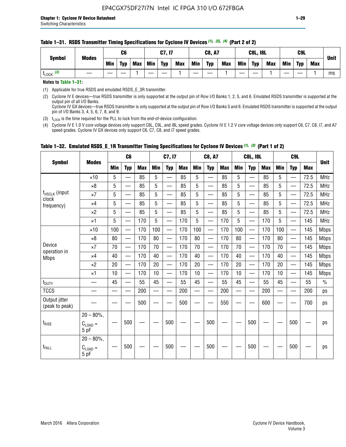#### **Table 1–31. RSDS Transmitter Timing Specifications for Cyclone IV Devices** *(1)***,** *(2)***,** *(4)* **(Part 2 of 2)**

**Notes to Table 1–31:**

(1) Applicable for true RSDS and emulated RSDS\_E\_3R transmitter.

(2) Cyclone IV E devices—true RSDS transmitter is only supported at the output pin of Row I/O Banks 1, 2, 5, and 6. Emulated RSDS transmitter is supported at the output pin of all I/O Banks. Cyclone IV GX devices—true RSDS transmitter is only supported at the output pin of Row I/O Banks 5 and 6. Emulated RSDS transmitter is supported at the output

pin of I/O Banks 3, 4, 5, 6, 7, 8, and 9.

(3)  $t_{\text{LOCK}}$  is the time required for the PLL to lock from the end-of-device configuration.

(4) Cyclone IV E 1.0 V core voltage devices only support C8L, C9L, and I8L speed grades. Cyclone IV E 1.2 V core voltage devices only support C6, C7, C8, I7, and A7 speed grades. Cyclone IV GX devices only support C6, C7, C8, and I7 speed grades.

|                                 |                                       |     | C6                       |            |     | C7, I7                                    |            |                          | <b>C8, A7</b>                             |     |     | <b>C8L, I8L</b>          |            |     | C <sub>9</sub> L                              |            |               |
|---------------------------------|---------------------------------------|-----|--------------------------|------------|-----|-------------------------------------------|------------|--------------------------|-------------------------------------------|-----|-----|--------------------------|------------|-----|-----------------------------------------------|------------|---------------|
| <b>Symbol</b>                   | <b>Modes</b>                          | Min | <b>Typ</b>               | <b>Max</b> | Min | <b>Typ</b>                                | <b>Max</b> | Min                      | <b>Typ</b>                                | Max | Min | <b>Typ</b>               | <b>Max</b> | Min | <b>Typ</b>                                    | <b>Max</b> | <b>Unit</b>   |
|                                 | $\times$ 10                           | 5   |                          | 85         | 5   |                                           | 85         | 5                        |                                           | 85  | 5   |                          | 85         | 5   |                                               | 72.5       | <b>MHz</b>    |
|                                 | $\times 8$                            | 5   | $\overline{\phantom{0}}$ | 85         | 5   | $\overline{\phantom{0}}$                  | 85         | 5                        | $\overline{\phantom{0}}$                  | 85  | 5   | $\overline{\phantom{0}}$ | 85         | 5   | $\hspace{0.05cm}$                             | 72.5       | <b>MHz</b>    |
| f <sub>HSCLK</sub> (input       | $\times 7$                            | 5   | —                        | 85         | 5   | —                                         | 85         | 5                        | $\equiv$                                  | 85  | 5   | —                        | 85         | 5   | $\qquad \qquad \overline{\qquad \qquad }$     | 72.5       | <b>MHz</b>    |
| clock<br>frequency)             | $\times$ 4                            | 5   | $\overline{\phantom{0}}$ | 85         | 5   | $\overline{\phantom{0}}$                  | 85         | 5                        | $\overline{\phantom{0}}$                  | 85  | 5   | —                        | 85         | 5   | $\overline{\phantom{0}}$                      | 72.5       | <b>MHz</b>    |
|                                 | $\times 2$                            | 5   | —                        | 85         | 5   | $\qquad \qquad \overline{\qquad \qquad }$ | 85         | 5                        | $\qquad \qquad \overline{\qquad \qquad }$ | 85  | 5   | —                        | 85         | 5   | $\qquad \qquad \overbrace{\qquad \qquad }^{}$ | 72.5       | <b>MHz</b>    |
|                                 | $\times$ 1                            | 5   | $\overline{\phantom{0}}$ | 170        | 5   | $\overline{\phantom{0}}$                  | 170        | 5                        | $\equiv$                                  | 170 | 5   | —                        | 170        | 5   |                                               | 145        | <b>MHz</b>    |
|                                 | $\times$ 10                           | 100 | $\overline{\phantom{0}}$ | 170        | 100 | $\overline{\phantom{0}}$                  | 170        | 100                      | $\overline{\phantom{0}}$                  | 170 | 100 | $\overline{\phantom{0}}$ | 170        | 100 |                                               | 145        | <b>Mbps</b>   |
|                                 | $\times 8$                            | 80  | $\overline{\phantom{0}}$ | 170        | 80  | $\overline{\phantom{0}}$                  | 170        | 80                       | $\qquad \qquad \qquad$                    | 170 | 80  | $\overline{\phantom{0}}$ | 170        | 80  |                                               | 145        | <b>Mbps</b>   |
| Device                          | $\times 7$                            | 70  | $\overline{\phantom{0}}$ | 170        | 70  |                                           | 170        | 70                       | $\qquad \qquad \qquad$                    | 170 | 70  | $\overline{\phantom{0}}$ | 170        | 70  |                                               | 145        | <b>Mbps</b>   |
| operation in<br><b>Mbps</b>     | $\times$ 4                            | 40  |                          | 170        | 40  | $\overline{\phantom{0}}$                  | 170        | 40                       | $\overline{\phantom{m}}$                  | 170 | 40  | $\overline{\phantom{0}}$ | 170        | 40  |                                               | 145        | <b>Mbps</b>   |
|                                 | $\times 2$                            | 20  |                          | 170        | 20  | $\overline{\phantom{0}}$                  | 170        | 20                       | $\overline{\phantom{0}}$                  | 170 | 20  | $\overline{\phantom{0}}$ | 170        | 20  | $\overline{\phantom{0}}$                      | 145        | <b>Mbps</b>   |
|                                 | $\times$ 1                            | 10  | $\overline{\phantom{0}}$ | 170        | 10  |                                           | 170        | 10                       | $\overline{\phantom{0}}$                  | 170 | 10  | $\overline{\phantom{0}}$ | 170        | 10  |                                               | 145        | <b>Mbps</b>   |
| t <sub>DUTY</sub>               |                                       | 45  | $\equiv$                 | 55         | 45  | $\overline{\phantom{0}}$                  | 55         | 45                       |                                           | 55  | 45  | $\overline{\phantom{0}}$ | 55         | 45  |                                               | 55         | $\frac{0}{0}$ |
| <b>TCCS</b>                     |                                       |     |                          | 200        |     |                                           | 200        | $\overline{\phantom{0}}$ |                                           | 200 |     | $\overline{\phantom{0}}$ | 200        |     |                                               | 200        | ps            |
| Output jitter<br>(peak to peak) |                                       |     |                          | 500        |     |                                           | 500        |                          |                                           | 550 |     |                          | 600        |     |                                               | 700        | ps            |
| $t_{\text{RISE}}$               | $20 - 80\%$ ,<br>$C_{LOAD} =$<br>5 pF |     | 500                      |            |     | 500                                       |            |                          | 500                                       |     |     | 500                      |            |     | 500                                           |            | ps            |
| $t_{FALL}$                      | $20 - 80\%$ .<br>$C_{LOAD} =$<br>5 pF |     | 500                      |            |     | 500                                       |            |                          | 500                                       |     |     | 500                      |            |     | 500                                           |            | ps            |

### **Table 1–32. Emulated RSDS\_E\_1R Transmitter Timing Specifications for Cyclone IV Devices** *(1), (3)* **(Part 1 of 2)**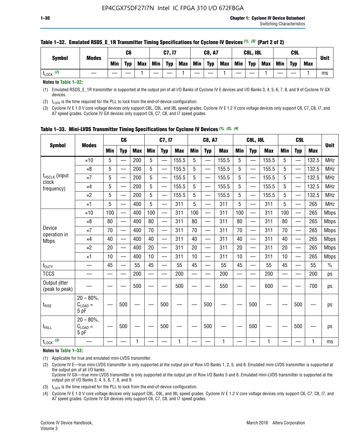| <b>Symbol</b> | <b>Modes</b> |            | C6         |     |            | C7, I7     |            |            | <b>C8, A7</b> |            |            | <b>C8L, I8L</b> |            |     | C <sub>9</sub> L |            | <b>Unit</b> |
|---------------|--------------|------------|------------|-----|------------|------------|------------|------------|---------------|------------|------------|-----------------|------------|-----|------------------|------------|-------------|
|               |              | <b>Min</b> | <b>Typ</b> | Max | <b>Min</b> | <b>Typ</b> | <b>Max</b> | <b>Min</b> | <b>Typ</b>    | <b>Max</b> | <b>Min</b> | <b>Typ</b>      | <b>Max</b> | Min | <b>Typ</b>       | <b>Max</b> |             |
| (2)<br>LOCK   |              |            |            |     |            |            |            |            |               |            |            |                 |            |     |                  |            | ms          |

#### **Table 1–32. Emulated RSDS\_E\_1R Transmitter Timing Specifications for Cyclone IV Devices** *(1), (3)* **(Part 2 of 2)**

**Notes to Table 1–32:**

(1) Emulated RSDS\_E\_1R transmitter is supported at the output pin of all I/O Banks of Cyclone IV E devices and I/O Banks 3, 4, 5, 6, 7, 8, and 9 of Cyclone IV GX devices.

(2)  $t_{\text{LOCK}}$  is the time required for the PLL to lock from the end-of-device configuration.

(3) Cyclone IV E 1.0 V core voltage devices only support C8L, C9L, and I8L speed grades. Cyclone IV E 1.2 V core voltage devices only support C6, C7, C8, I7, and A7 speed grades. Cyclone IV GX devices only support C6, C7, C8, and I7 speed grades.

|                                    |                                            |            | C <sub>6</sub>                                |            |                          | C7, I7                   |            |            | <b>C8, A7</b>            |              |                          | <b>C8L, I8L</b>          |            |            | C <sub>9</sub> L |            |               |
|------------------------------------|--------------------------------------------|------------|-----------------------------------------------|------------|--------------------------|--------------------------|------------|------------|--------------------------|--------------|--------------------------|--------------------------|------------|------------|------------------|------------|---------------|
| <b>Symbol</b>                      | <b>Modes</b>                               | <b>Min</b> | <b>Typ</b>                                    | <b>Max</b> | <b>Min</b>               | <b>Typ</b>               | <b>Max</b> | <b>Min</b> | <b>Typ</b>               | <b>Max</b>   | <b>Min</b>               | <b>Typ</b>               | <b>Max</b> | <b>Min</b> | <b>Typ</b>       | <b>Max</b> | <b>Unit</b>   |
|                                    | $\times$ 10                                | 5          | —<br>—                                        | 200        | 5                        | —                        | 155.5      | 5          | ÷,                       | 155.5        | 5                        | $\overline{\phantom{0}}$ | 155.5      | 5          |                  | 132.5      | <b>MHz</b>    |
|                                    | $\times 8$                                 | 5          | $\overline{\phantom{0}}$                      | 200        | $5\phantom{.0}$          | <u>—</u>                 | 155.5      | 5          | $\overline{\phantom{0}}$ | 155.5        | 5                        | $\overline{\phantom{0}}$ | 155.5      | 5          |                  | 132.5      | <b>MHz</b>    |
| f <sub>HSCLK</sub> (input<br>clock | $\times 7$                                 | 5          | $\overline{\phantom{0}}$                      | 200        | 5                        | ÷,                       | 155.5      | 5          | —<br>——                  | 155.5        | 5                        |                          | 155.5      | 5          |                  | 132.5      | <b>MHz</b>    |
| frequency)                         | $\times$ 4                                 | 5          | $\overline{\phantom{0}}$                      | 200        | 5                        | $\overline{\phantom{0}}$ | 155.5      | 5          | $\overline{\phantom{0}}$ | 155.5        | 5                        |                          | 155.5      | 5          | $\qquad \qquad$  | 132.5      | MHz           |
|                                    | $\times 2$                                 | 5          | $\overline{\phantom{0}}$                      | 200        | 5                        | —                        | 155.5      | 5          | $\overline{\phantom{0}}$ | 155.5        | 5                        | $\overline{\phantom{0}}$ | 155.5      | 5          |                  | 132.5      | <b>MHz</b>    |
|                                    | $\times$ 1                                 | 5          | $\overline{\phantom{0}}$                      | 400        | 5                        | —                        | 311        | 5          | $\overline{\phantom{0}}$ | 311          | 5                        | $\overline{\phantom{0}}$ | 311        | 5          |                  | 265        | <b>MHz</b>    |
|                                    | $\times$ 10                                | 100        | $\overline{\phantom{0}}$                      | 400        | 100                      | $\overline{\phantom{0}}$ | 311        | 100        | $\overline{\phantom{0}}$ | 311          | 100                      |                          | 311        | 100        |                  | 265        | <b>Mbps</b>   |
|                                    | $\times 8$                                 | 80         | $\overline{\phantom{0}}$                      | 400        | 80                       |                          | 311        | 80         | $\overline{\phantom{0}}$ | 311          | 80                       | $\overline{\phantom{0}}$ | 311        | 80         |                  | 265        | <b>Mbps</b>   |
| Device                             | $\times 7$                                 | 70         | $\overline{\phantom{0}}$                      | 400        | 70                       | $\overline{\phantom{0}}$ | 311        | 70         | $\overline{\phantom{0}}$ | 311          | 70                       | $\overline{\phantom{0}}$ | 311        | 70         |                  | 265        | <b>Mbps</b>   |
| operation in<br><b>Mbps</b>        | $\times 4$                                 | 40         | $\overline{\phantom{0}}$                      | 400        | 40                       | —                        | 311        | 40         | $\overline{\phantom{0}}$ | 311          | 40                       | $\overline{\phantom{0}}$ | 311        | 40         |                  | 265        | <b>Mbps</b>   |
|                                    | $\times 2$                                 | 20         | $\qquad \qquad \overbrace{\qquad \qquad }^{}$ | 400        | 20                       | —                        | 311        | 20         | —                        | 311          | 20                       | —                        | 311        | 20         | —                | 265        | <b>Mbps</b>   |
|                                    | $\times$ 1                                 | 10         |                                               | 400        | 10                       | —                        | 311        | 10         | $\overline{\phantom{0}}$ | 311          | 10                       | $\overline{\phantom{0}}$ | 311        | 10         |                  | 265        | <b>Mbps</b>   |
| t <sub>DUTY</sub>                  |                                            | 45         | $\overbrace{\phantom{aaaaa}}$                 | 55         | 45                       |                          | 55         | 45         | —                        | 55           | 45                       | $\overline{\phantom{0}}$ | 55         | 45         |                  | 55         | $\frac{0}{0}$ |
| <b>TCCS</b>                        |                                            |            |                                               | 200        | $\overline{\phantom{0}}$ |                          | 200        |            |                          | 200          | $\overline{\phantom{0}}$ |                          | 200        |            |                  | 200        | ps            |
| Output jitter<br>(peak to peak)    |                                            |            |                                               | 500        |                          |                          | 500        |            |                          | 550          |                          |                          | 600        |            |                  | 700        | ps            |
| $t_{\text{RISE}}$                  | $20 - 80\%$ ,<br>$C_{LOAD} =$<br>5 pF      |            | 500                                           |            |                          | 500                      |            |            | 500                      |              |                          | 500                      |            |            | 500              |            | ps            |
| t <sub>FALL</sub>                  | $20 - 80\%$<br>$C_{\text{LOAD}} =$<br>5 pF |            | 500                                           |            |                          | 500                      |            |            | 500                      |              |                          | 500                      |            |            | 500              |            | ps            |
| $t_{\text{LOCK}}$ (3)              |                                            |            |                                               | 1          |                          |                          | 1          |            |                          | $\mathbf{1}$ |                          |                          | 1          |            |                  | 1          | ms            |

**Table 1–33. Mini-LVDS Transmitter Timing Specifications for Cyclone IV Devices** *(1)***,** *(2)***,** *(4)*

**Notes to Table 1–33:**

(1) Applicable for true and emulated mini-LVDS transmitter.

(2) Cyclone IV E—true mini-LVDS transmitter is only supported at the output pin of Row I/O Banks 1, 2, 5, and 6. Emulated mini-LVDS transmitter is supported at the output pin of all I/O banks.

Cyclone IV GX—true mini-LVDS transmitter is only supported at the output pin of Row I/O Banks 5 and 6. Emulated mini-LVDS transmitter is supported at the output pin of I/O Banks 3, 4, 5, 6, 7, 8, and 9.

(3)  $t_{\text{LOCK}}$  is the time required for the PLL to lock from the end-of-device configuration.

(4) Cyclone IV E 1.0 V core voltage devices only support C8L, C9L, and I8L speed grades. Cyclone IV E 1.2 V core voltage devices only support C6, C7, C8, I7, and A7 speed grades. Cyclone IV GX devices only support C6, C7, C8, and I7 speed grades.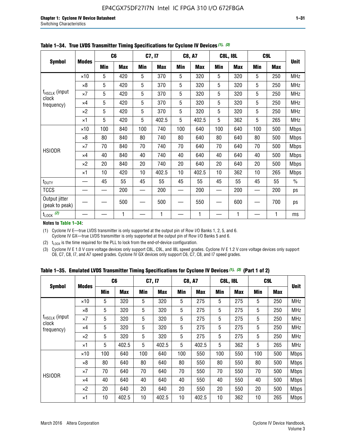|                                 |              |     | C <sub>6</sub> |     | C7, I7     |     | <b>C8, A7</b> |     | <b>C8L, I8L</b> |            | C <sub>9</sub> L |               |
|---------------------------------|--------------|-----|----------------|-----|------------|-----|---------------|-----|-----------------|------------|------------------|---------------|
| <b>Symbol</b>                   | <b>Modes</b> | Min | <b>Max</b>     | Min | <b>Max</b> | Min | <b>Max</b>    | Min | <b>Max</b>      | <b>Min</b> | <b>Max</b>       | <b>Unit</b>   |
|                                 | $\times$ 10  | 5   | 420            | 5   | 370        | 5   | 320           | 5   | 320             | 5          | 250              | <b>MHz</b>    |
|                                 | $\times 8$   | 5   | 420            | 5   | 370        | 5   | 320           | 5   | 320             | 5          | 250              | <b>MHz</b>    |
| f <sub>HSCLK</sub> (input       | $\times 7$   | 5   | 420            | 5   | 370        | 5   | 320           | 5   | 320             | 5          | 250              | MHz           |
| clock<br>frequency)             | $\times$ 4   | 5   | 420            | 5   | 370        | 5   | 320           | 5   | 320             | 5          | 250              | <b>MHz</b>    |
|                                 | $\times 2$   | 5   | 420            | 5   | 370        | 5   | 320           | 5   | 320             | 5          | 250              | <b>MHz</b>    |
|                                 | $\times$ 1   | 5   | 420            | 5   | 402.5      | 5   | 402.5         | 5   | 362             | 5          | 265              | <b>MHz</b>    |
|                                 | $\times$ 10  | 100 | 840            | 100 | 740        | 100 | 640           | 100 | 640             | 100        | 500              | <b>Mbps</b>   |
|                                 | $\times 8$   | 80  | 840            | 80  | 740        | 80  | 640           | 80  | 640             | 80         | 500              | <b>Mbps</b>   |
| <b>HSIODR</b>                   | $\times 7$   | 70  | 840            | 70  | 740        | 70  | 640           | 70  | 640             | 70         | 500              | <b>Mbps</b>   |
|                                 | $\times$ 4   | 40  | 840            | 40  | 740        | 40  | 640           | 40  | 640             | 40         | 500              | <b>Mbps</b>   |
|                                 | $\times 2$   | 20  | 840            | 20  | 740        | 20  | 640           | 20  | 640             | 20         | 500              | <b>Mbps</b>   |
|                                 | $\times$ 1   | 10  | 420            | 10  | 402.5      | 10  | 402.5         | 10  | 362             | 10         | 265              | <b>Mbps</b>   |
| t <sub>DUTY</sub>               |              | 45  | 55             | 45  | 55         | 45  | 55            | 45  | 55              | 45         | 55               | $\frac{0}{0}$ |
| <b>TCCS</b>                     |              |     | 200            |     | 200        |     | 200           |     | 200             |            | 200              | ps            |
| Output jitter<br>(peak to peak) |              |     | 500            |     | 500        |     | 550           |     | 600             |            | 700              | ps            |
| $t_{\text{LOCK}}$ (2)           |              |     | 1              |     | 1          |     | 1             |     | 1               |            | 1                | ms            |

**Table 1–34. True LVDS Transmitter Timing Specifications for Cyclone IV Devices** *(1)***,** *(3)*

**Notes to Table 1–34:**

(1) Cyclone IV E—true LVDS transmitter is only supported at the output pin of Row I/O Banks 1, 2, 5, and 6. Cyclone IV GX—true LVDS transmitter is only supported at the output pin of Row I/O Banks 5 and 6.

(2)  $t_{\text{LOCK}}$  is the time required for the PLL to lock from the end-of-device configuration.

(3) Cyclone IV E 1.0 V core voltage devices only support C8L, C9L, and I8L speed grades. Cyclone IV E 1.2 V core voltage devices only support C6, C7, C8, I7, and A7 speed grades. Cyclone IV GX devices only support C6, C7, C8, and I7 speed grades.

|  |  |  |  | Table 1–35. Emulated LVDS Transmitter Timing Specifications for Cyclone IV Devices <sup>(1),</sup> <sup>(3)</sup> (Part 1 of 2) |  |  |
|--|--|--|--|---------------------------------------------------------------------------------------------------------------------------------|--|--|
|--|--|--|--|---------------------------------------------------------------------------------------------------------------------------------|--|--|

| <b>Symbol</b>               |              | C <sub>6</sub> |            | C7, I7     |            | <b>C8, A7</b> |            | <b>C8L, I8L</b> |            |            | C <sub>9</sub> L |             |
|-----------------------------|--------------|----------------|------------|------------|------------|---------------|------------|-----------------|------------|------------|------------------|-------------|
|                             | <b>Modes</b> | Min            | <b>Max</b> | <b>Min</b> | <b>Max</b> | <b>Min</b>    | <b>Max</b> | <b>Min</b>      | <b>Max</b> | <b>Min</b> | <b>Max</b>       | <b>Unit</b> |
|                             | $\times$ 10  | 5              | 320        | 5          | 320        | 5             | 275        | 5               | 275        | 5          | 250              | <b>MHz</b>  |
|                             | $\times 8$   | 5              | 320        | 5          | 320        | 5             | 275        | 5               | 275        | 5          | 250              | <b>MHz</b>  |
| $f_{HSCLK}$ (input<br>clock | $\times 7$   | 5              | 320        | 5          | 320        | 5             | 275        | 5               | 275        | 5          | 250              | <b>MHz</b>  |
| frequency)                  | $\times$ 4   | 5              | 320        | 5          | 320        | 5             | 275        | 5               | 275        | 5          | 250              | <b>MHz</b>  |
|                             | $\times 2$   | 5              | 320        | 5          | 320        | 5             | 275        | 5               | 275        | 5          | 250              | <b>MHz</b>  |
|                             | $\times$ 1   | 5              | 402.5      | 5          | 402.5      | 5             | 402.5      | 5               | 362        | 5          | 265              | <b>MHz</b>  |
|                             | $\times$ 10  | 100            | 640        | 100        | 640        | 100           | 550        | 100             | 550        | 100        | 500              | <b>Mbps</b> |
|                             | $\times 8$   | 80             | 640        | 80         | 640        | 80            | 550        | 80              | 550        | 80         | 500              | <b>Mbps</b> |
| <b>HSIODR</b>               | $\times 7$   | 70             | 640        | 70         | 640        | 70            | 550        | 70              | 550        | 70         | 500              | <b>Mbps</b> |
|                             | $\times$ 4   | 40             | 640        | 40         | 640        | 40            | 550        | 40              | 550        | 40         | 500              | <b>Mbps</b> |
|                             | $\times 2$   | 20             | 640        | 20         | 640        | 20            | 550        | 20              | 550        | 20         | 500              | <b>Mbps</b> |
|                             | $\times$ 1   | 10             | 402.5      | 10         | 402.5      | 10            | 402.5      | 10              | 362        | 10         | 265              | <b>Mbps</b> |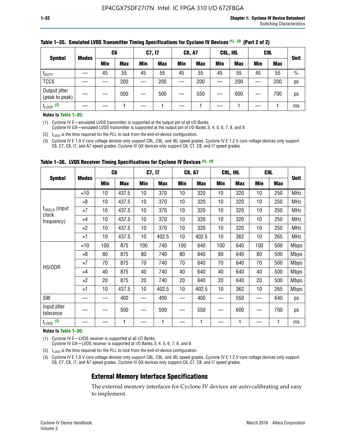| <b>Symbol</b>                   |              | C <sub>6</sub> |            | C7, I7     |            | <b>C8, A7</b> |            | <b>C8L, I8L</b> |            |     | C <sub>9</sub> L |               |
|---------------------------------|--------------|----------------|------------|------------|------------|---------------|------------|-----------------|------------|-----|------------------|---------------|
|                                 | <b>Modes</b> | Min            | <b>Max</b> | <b>Min</b> | <b>Max</b> | <b>Min</b>    | <b>Max</b> | Min             | <b>Max</b> | Min | <b>Max</b>       | <b>Unit</b>   |
| t <sub>DUTY</sub>               |              | 45             | 55         | 45         | 55         | 45            | 55         | 45              | 55         | 45  | 55               | $\frac{0}{0}$ |
| <b>TCCS</b>                     |              |                | 200        |            | 200        |               | 200        |                 | 200        | –   | 200              | ps            |
| Output jitter<br>(peak to peak) |              |                | 500        |            | 500        |               | 550        |                 | 600        | __  | 700              | ps            |
| $t_{\text{LOCK}}$ (2)           |              |                |            |            |            |               |            |                 |            |     |                  | ms            |

#### **Table 1–35. Emulated LVDS Transmitter Timing Specifications for Cyclone IV Devices** *(1)***,** *(3)* **(Part 2 of 2)**

#### **Notes to Table 1–35:**

(1) Cyclone IV E—emulated LVDS transmitter is supported at the output pin of all I/O Banks.

Cyclone IV GX—emulated LVDS transmitter is supported at the output pin of I/O Banks 3, 4, 5, 6, 7, 8, and 9.

(2)  $t_{\text{LOCK}}$  is the time required for the PLL to lock from the end-of-device configuration.

(3) Cyclone IV E 1.0 V core voltage devices only support C8L, C9L, and I8L speed grades. Cyclone IV E 1.2 V core voltage devices only support C6, C7, C8, I7, and A7 speed grades. Cyclone IV GX devices only support C6, C7, C8, and I7 speed grades.

|                                    |              |            | C <sub>6</sub> | C7, I7     |            | <b>C8, A7</b> |            |     | <b>C8L, I8L</b> | C <sub>9</sub> L         |            |             |
|------------------------------------|--------------|------------|----------------|------------|------------|---------------|------------|-----|-----------------|--------------------------|------------|-------------|
| <b>Symbol</b>                      | <b>Modes</b> | <b>Min</b> | <b>Max</b>     | <b>Min</b> | <b>Max</b> | Min           | <b>Max</b> | Min | <b>Max</b>      | <b>Min</b>               | <b>Max</b> | <b>Unit</b> |
|                                    | $\times$ 10  | 10         | 437.5          | 10         | 370        | 10            | 320        | 10  | 320             | 10                       | 250        | <b>MHz</b>  |
|                                    | $\times 8$   | 10         | 437.5          | 10         | 370        | 10            | 320        | 10  | 320             | 10                       | 250        | <b>MHz</b>  |
| f <sub>HSCLK</sub> (input<br>clock | $\times 7$   | 10         | 437.5          | 10         | 370        | 10            | 320        | 10  | 320             | 10                       | 250        | <b>MHz</b>  |
| frequency)                         | $\times 4$   | 10         | 437.5          | 10         | 370        | 10            | 320        | 10  | 320             | 10                       | 250        | <b>MHz</b>  |
|                                    | $\times 2$   | 10         | 437.5          | 10         | 370        | 10            | 320        | 10  | 320             | 10                       | 250        | <b>MHz</b>  |
|                                    | ×1           | 10         | 437.5          | 10         | 402.5      | 10            | 402.5      | 10  | 362             | 10                       | 265        | <b>MHz</b>  |
|                                    | $\times$ 10  | 100        | 875            | 100        | 740        | 100           | 640        | 100 | 640             | 100                      | 500        | <b>Mbps</b> |
|                                    | $\times 8$   | 80         | 875            | 80         | 740        | 80            | 640        | 80  | 640             | 80                       | 500        | <b>Mbps</b> |
| <b>HSIODR</b>                      | $\times 7$   | 70         | 875            | 70         | 740        | 70            | 640        | 70  | 640             | 70                       | 500        | <b>Mbps</b> |
|                                    | $\times 4$   | 40         | 875            | 40         | 740        | 40            | 640        | 40  | 640             | 40                       | 500        | <b>Mbps</b> |
|                                    | $\times 2$   | 20         | 875            | 20         | 740        | 20            | 640        | 20  | 640             | 20                       | 500        | <b>Mbps</b> |
|                                    | ×1           | 10         | 437.5          | 10         | 402.5      | 10            | 402.5      | 10  | 362             | 10                       | 265        | <b>Mbps</b> |
| SW                                 |              |            | 400            |            | 400        |               | 400        |     | 550             | —                        | 640        | ps          |
| Input jitter<br>tolerance          |              |            | 500            |            | 500        |               | 550        |     | 600             | $\overline{\phantom{0}}$ | 700        | ps          |
| $t_{\text{LOCK}}$ (2)              |              |            | 1              |            | 1          |               | 1          |     | 1               |                          |            | ms          |

**Table 1–36. LVDS Receiver Timing Specifications for Cyclone IV Devices** *(1)***,** *(3)*

#### **Notes to Table 1–36:**

(1) Cyclone IV E—LVDS receiver is supported at all I/O Banks.

Cyclone IV GX—LVDS receiver is supported at I/O Banks 3, 4, 5, 6, 7, 8, and 9.

(2)  $t_{\text{LOCK}}$  is the time required for the PLL to lock from the end-of-device configuration.

(3) Cyclone IV E 1.0 V core voltage devices only support C8L, C9L, and I8L speed grades. Cyclone IV E 1.2 V core voltage devices only support C6, C7, C8, I7, and A7 speed grades. Cyclone IV GX devices only support C6, C7, C8, and I7 speed grades.

### **External Memory Interface Specifications**

The external memory interfaces for Cyclone IV devices are auto-calibrating and easy to implement.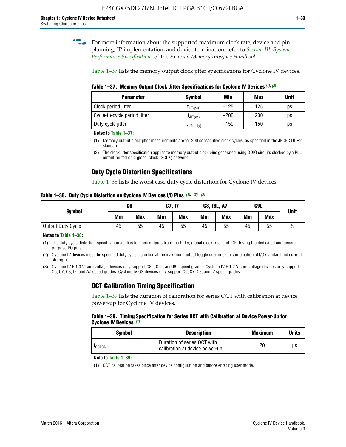**for more information about the supported maximum clock rate, device and pin** planning, IP implementation, and device termination, refer to *[Section III: System](http://www.altera.com/literature/hb/external-memory/emi_intro_specs.pdf)  [Performance Specifications](http://www.altera.com/literature/hb/external-memory/emi_intro_specs.pdf)* of the *External Memory Interface Handbook*.

Table 1–37 lists the memory output clock jitter specifications for Cyclone IV devices.

**Table 1–37. Memory Output Clock Jitter Specifications for Cyclone IV Devices** *(1)***,** *(2)*

| <b>Parameter</b>             | <b>Symbol</b>  | Min    | <b>Max</b> | <b>Unit</b> |
|------------------------------|----------------|--------|------------|-------------|
| Clock period jitter          | $L$ JIT(per)   | $-125$ | 125        | ps          |
| Cycle-to-cycle period jitter | $L$ JIT $(cc)$ | $-200$ | 200        | ps          |
| Duty cycle jitter            | LJIT(duty)     | $-150$ | 150        | рs          |

**Notes to Table 1–37:**

- (1) Memory output clock jitter measurements are for 200 consecutive clock cycles, as specified in the JEDEC DDR2 standard.
- (2) The clock jitter specification applies to memory output clock pins generated using DDIO circuits clocked by a PLL output routed on a global clock (GCLK) network.

# **Duty Cycle Distortion Specifications**

Table 1–38 lists the worst case duty cycle distortion for Cyclone IV devices.

**Table 1–38. Duty Cycle Distortion on Cyclone IV Devices I/O Pins** *(1)***,** *(2), (3)*

| <b>Symbol</b>     | C <sub>6</sub> |            | C7, I7     |            | <b>C8, I8L, A7</b> |            |            | C9L        | <b>Unit</b>   |
|-------------------|----------------|------------|------------|------------|--------------------|------------|------------|------------|---------------|
|                   | Min            | <b>Max</b> | <b>Min</b> | <b>Max</b> | Min                | <b>Max</b> | <b>Min</b> | <b>Max</b> |               |
| Output Duty Cycle | 45             | 55         | 45         | 55         | 45                 | 55         | 45         | 55         | $\frac{0}{0}$ |

**Notes to Table 1–38:**

(1) The duty cycle distortion specification applies to clock outputs from the PLLs, global clock tree, and IOE driving the dedicated and general purpose I/O pins.

(2) Cyclone IV devices meet the specified duty cycle distortion at the maximum output toggle rate for each combination of I/O standard and current strength.

(3) Cyclone IV E 1.0 V core voltage devices only support C8L, C9L, and I8L speed grades. Cyclone IV E 1.2 V core voltage devices only support C6, C7, C8, I7, and A7 speed grades. Cyclone IV GX devices only support C6, C7, C8, and I7 speed grades.

# **OCT Calibration Timing Specification**

Table 1–39 lists the duration of calibration for series OCT with calibration at device power-up for Cyclone IV devices.

#### **Table 1–39. Timing Specification for Series OCT with Calibration at Device Power-Up for Cyclone IV Devices** *(1)*

| Symbol  | <b>Description</b>                                            | <b>Maximum</b> | <b>Units</b> |
|---------|---------------------------------------------------------------|----------------|--------------|
| LOCTCAL | Duration of series OCT with<br>calibration at device power-up | 20             | μs           |

#### **Note to Table 1–39***:*

(1) OCT calibration takes place after device configuration and before entering user mode.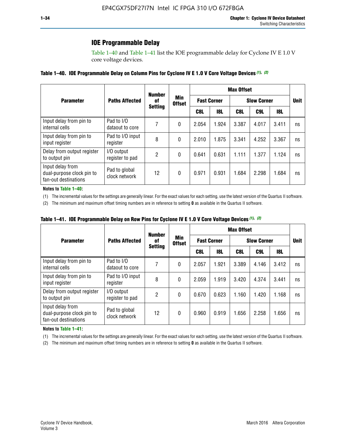# **IOE Programmable Delay**

Table 1–40 and Table 1–41 list the IOE programmable delay for Cyclone IV E 1.0 V core voltage devices.

#### **Table 1–40. IOE Programmable Delay on Column Pins for Cyclone IV E 1.0 V Core Voltage Devices** *(1)***,** *(2)*

|                                                                       |                                | <b>Number</b>  |                      |                    |            | <b>Max Offset</b> |                    |       |             |
|-----------------------------------------------------------------------|--------------------------------|----------------|----------------------|--------------------|------------|-------------------|--------------------|-------|-------------|
| <b>Parameter</b>                                                      | <b>Paths Affected</b>          | 0f             | Min<br><b>Offset</b> | <b>Fast Corner</b> |            |                   | <b>Slow Corner</b> |       | <b>Unit</b> |
|                                                                       |                                | <b>Setting</b> |                      | C8L                | <b>18L</b> | C8L               | C9L                | 18L   |             |
| Input delay from pin to<br>internal cells                             | Pad to I/O<br>dataout to core  |                | 0                    | 2.054              | 1.924      | 3.387             | 4.017              | 3.411 | ns          |
| Input delay from pin to<br>input register                             | Pad to I/O input<br>register   | 8              | 0                    | 2.010              | 1.875      | 3.341             | 4.252              | 3.367 | ns          |
| Delay from output register<br>to output pin                           | I/O output<br>register to pad  | 2              | 0                    | 0.641              | 0.631      | 1.111             | 1.377              | 1.124 | ns          |
| Input delay from<br>dual-purpose clock pin to<br>fan-out destinations | Pad to global<br>clock network | 12             | 0                    | 0.971              | 0.931      | 1.684             | 2.298              | 1.684 | ns          |

#### **Notes to Table 1–40:**

(1) The incremental values for the settings are generally linear. For the exact values for each setting, use the latest version of the Quartus II software.

(2) The minimum and maximum offset timing numbers are in reference to setting **0** as available in the Quartus II software.

| Table 1–41. IOE Programmable Delay on Row Pins for Cyclone IV E 1.0 V Core Voltage Devices (1), (2) |  |  |
|-----------------------------------------------------------------------------------------------------|--|--|
|-----------------------------------------------------------------------------------------------------|--|--|

|                                                                       |                                | <b>Number</b>  |                      |       | <b>Max Offset</b>  |                    |             |       |    |  |
|-----------------------------------------------------------------------|--------------------------------|----------------|----------------------|-------|--------------------|--------------------|-------------|-------|----|--|
| <b>Parameter</b>                                                      | <b>Paths Affected</b>          | 0f             | Min<br><b>Offset</b> |       | <b>Fast Corner</b> | <b>Slow Corner</b> | <b>Unit</b> |       |    |  |
|                                                                       |                                | <b>Setting</b> |                      | C8L   | <b>18L</b>         | C8L                | C9L         | 18L   |    |  |
| Input delay from pin to<br>internal cells                             | Pad to I/O<br>dataout to core  |                | 0                    | 2.057 | 1.921              | 3.389              | 4.146       | 3.412 | ns |  |
| Input delay from pin to<br>input register                             | Pad to I/O input<br>register   | 8              | 0                    | 2.059 | 1.919              | 3.420              | 4.374       | 3.441 | ns |  |
| Delay from output register<br>to output pin                           | I/O output<br>register to pad  | 2              | 0                    | 0.670 | 0.623              | 1.160              | 1.420       | 1.168 | ns |  |
| Input delay from<br>dual-purpose clock pin to<br>fan-out destinations | Pad to global<br>clock network | 12             | 0                    | 0.960 | 0.919              | 1.656              | 2.258       | 1.656 | ns |  |

#### **Notes to Table 1–41:**

(1) The incremental values for the settings are generally linear. For the exact values for each setting, use the latest version of the Quartus II software.

(2) The minimum and maximum offset timing numbers are in reference to setting **0** as available in the Quartus II software.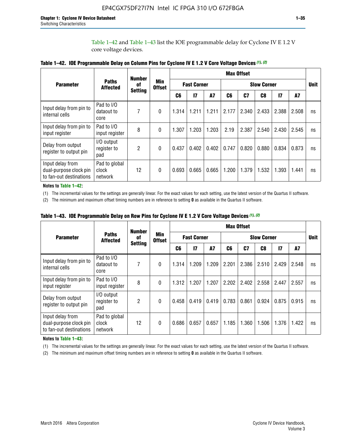Table 1–42 and Table 1–43 list the IOE programmable delay for Cyclone IV E 1.2 V core voltage devices.

|                                                                       |                                   | <b>Number</b>  |                             |       |                    |           |                    | <b>Max Offset</b> |       |               |       |             |
|-----------------------------------------------------------------------|-----------------------------------|----------------|-----------------------------|-------|--------------------|-----------|--------------------|-------------------|-------|---------------|-------|-------------|
| <b>Parameter</b>                                                      | <b>Paths</b><br><b>Affected</b>   | of             | <b>Min</b><br><b>Offset</b> |       | <b>Fast Corner</b> |           | <b>Slow Corner</b> |                   |       |               |       | <b>Unit</b> |
|                                                                       |                                   | <b>Setting</b> |                             | C6    | $\mathbf{I}$       | <b>A7</b> | C6                 | C7                | C8    | $\mathsf{I}7$ | A7    |             |
| Input delay from pin to<br>internal cells                             | Pad to I/O<br>dataout to<br>core  | 7              | $\Omega$                    | 1.314 | 1.211              | 1.211     | 2.177              | 2.340             | 2.433 | 2.388         | 2.508 | ns          |
| Input delay from pin to<br>input register                             | Pad to I/O<br>input register      | 8              | $\Omega$                    | 1.307 | 1.203              | 1.203     | 2.19               | 2.387             | 2.540 | 2.430         | 2.545 | ns          |
| Delay from output<br>register to output pin                           | I/O output<br>register to<br>pad  | 2              | $\Omega$                    | 0.437 | 0.402              | 0.402     | 0.747              | 0.820             | 0.880 | 0.834         | 0.873 | ns          |
| Input delay from<br>dual-purpose clock pin<br>to fan-out destinations | Pad to global<br>clock<br>network | 12             | 0                           | 0.693 | 0.665              | 0.665     | 1.200              | 1.379             | 1.532 | 1.393         | 1.441 | ns          |

**Notes to Table 1–42:**

(1) The incremental values for the settings are generally linear. For the exact values for each setting, use the latest version of the Quartus II software.

(2) The minimum and maximum offset timing numbers are in reference to setting **0** as available in the Quartus II software.

|                                                                       |                                   | <b>Number</b>  |                             |       |                    |       |       | <b>Max Offset</b>  |       |               |       |    |
|-----------------------------------------------------------------------|-----------------------------------|----------------|-----------------------------|-------|--------------------|-------|-------|--------------------|-------|---------------|-------|----|
| <b>Parameter</b>                                                      | <b>Paths</b><br><b>Affected</b>   | of             | <b>Min</b><br><b>Offset</b> |       | <b>Fast Corner</b> |       |       | <b>Slow Corner</b> |       |               |       |    |
|                                                                       |                                   | <b>Setting</b> |                             | C6    | 17                 | A7    | C6    | C7                 | C8    | $\mathsf{I}7$ | A7    |    |
| Input delay from pin to<br>internal cells                             | Pad to I/O<br>dataout to<br>core  | 7              | 0                           | 1.314 | 1.209              | 1.209 | 2.201 | 2.386              | 2.510 | 2.429         | 2.548 | ns |
| Input delay from pin to<br>input register                             | Pad to I/O<br>input register      | 8              | $\Omega$                    | 1.312 | 1.207              | 1.207 | 2.202 | 2.402              | 2.558 | 2.447         | 2.557 | ns |
| Delay from output<br>register to output pin                           | I/O output<br>register to<br>pad  | 2              | $\Omega$                    | 0.458 | 0.419              | 0.419 | 0.783 | 0.861              | 0.924 | 0.875         | 0.915 | ns |
| Input delay from<br>dual-purpose clock pin<br>to fan-out destinations | Pad to global<br>clock<br>network | 12             | 0                           | 0.686 | 0.657              | 0.657 | 1.185 | 1.360              | 1.506 | 1.376         | 1.422 | ns |

**Table 1–43. IOE Programmable Delay on Row Pins for Cyclone IV E 1.2 V Core Voltage Devices** *(1)***,** *(2)*

#### **Notes to Table 1–43:**

(1) The incremental values for the settings are generally linear. For the exact values for each setting, use the latest version of the Quartus II software.

(2) The minimum and maximum offset timing numbers are in reference to setting **0** as available in the Quartus II software.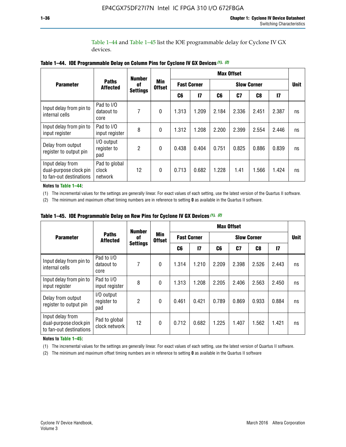Table 1–44 and Table 1–45 list the IOE programmable delay for Cyclone IV GX devices.

|                                                                       |                                   | <b>Number</b>   |                             |                    |              |       | <b>Max Offset</b>  |       |               |             |
|-----------------------------------------------------------------------|-----------------------------------|-----------------|-----------------------------|--------------------|--------------|-------|--------------------|-------|---------------|-------------|
| <b>Parameter</b>                                                      | <b>Paths</b><br><b>Affected</b>   | 0f              | <b>Min</b><br><b>Offset</b> | <b>Fast Corner</b> |              |       | <b>Slow Corner</b> |       |               | <b>Unit</b> |
|                                                                       |                                   | <b>Settings</b> |                             | C6                 | $\mathbf{I}$ | C6    | C7                 | C8    | $\mathsf{I}7$ |             |
| Input delay from pin to<br>internal cells                             | Pad to I/O<br>dataout to<br>core  | 7               | $\mathbf{0}$                | 1.313              | 1.209        | 2.184 | 2.336              | 2.451 | 2.387         | ns          |
| Input delay from pin to<br>input register                             | Pad to I/O<br>input register      | 8               | $\theta$                    | 1.312              | 1.208        | 2.200 | 2.399              | 2.554 | 2.446         | ns          |
| Delay from output<br>register to output pin                           | I/O output<br>register to<br>pad  | 2               | $\mathbf 0$                 | 0.438              | 0.404        | 0.751 | 0.825              | 0.886 | 0.839         | ns          |
| Input delay from<br>dual-purpose clock pin<br>to fan-out destinations | Pad to global<br>clock<br>network | 12              | 0                           | 0.713              | 0.682        | 1.228 | 1.41               | 1.566 | 1.424         | ns          |

**Table 1–44. IOE Programmable Delay on Column Pins for Cyclone IV GX Devices** *(1)***,** *(2)*

**Notes to Table 1–44:**

(1) The incremental values for the settings are generally linear. For exact values of each setting, use the latest version of the Quartus II software.

(2) The minimum and maximum offset timing numbers are in reference to setting **0** as available in the Quartus II software.

|                                                                       |                                  | <b>Number</b>   |                             |       |                    |                    | <b>Max Offset</b> |       |              |             |
|-----------------------------------------------------------------------|----------------------------------|-----------------|-----------------------------|-------|--------------------|--------------------|-------------------|-------|--------------|-------------|
| <b>Parameter</b>                                                      | <b>Paths</b><br><b>Affected</b>  | 0f              | <b>Min</b><br><b>Offset</b> |       | <b>Fast Corner</b> | <b>Slow Corner</b> |                   |       |              | <b>Unit</b> |
|                                                                       |                                  | <b>Settings</b> |                             | C6    | 17                 | C6                 | C7                | C8    | $\mathbf{I}$ |             |
| Input delay from pin to<br>internal cells                             | Pad to I/O<br>dataout to<br>core | 7               | $\mathbf{0}$                | 1.314 | 1.210              | 2.209              | 2.398             | 2.526 | 2.443        | ns          |
| Input delay from pin to<br>input register                             | Pad to I/O<br>input register     | 8               | $\mathbf{0}$                | 1.313 | 1.208              | 2.205              | 2.406             | 2.563 | 2.450        | ns          |
| Delay from output<br>register to output pin                           | I/O output<br>register to<br>pad | $\overline{2}$  | $\mathbf{0}$                | 0.461 | 0.421              | 0.789              | 0.869             | 0.933 | 0.884        | ns          |
| Input delay from<br>dual-purpose clock pin<br>to fan-out destinations | Pad to global<br>clock network   | 12              | 0                           | 0.712 | 0.682              | 1.225              | 1.407             | 1.562 | 1.421        | ns          |

**Table 1–45. IOE Programmable Delay on Row Pins for Cyclone IV GX Devices** *(1)***,** *(2)*

#### **Notes to Table 1–45:**

(1) The incremental values for the settings are generally linear. For exact values of each setting, use the latest version of Quartus II software.

(2) The minimum and maximum offset timing numbers are in reference to setting **0** as available in the Quartus II software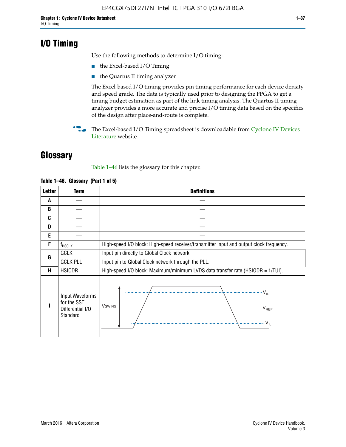# **I/O Timing**

Use the following methods to determine I/O timing:

- the Excel-based I/O Timing
- the Quartus II timing analyzer

The Excel-based I/O timing provides pin timing performance for each device density and speed grade. The data is typically used prior to designing the FPGA to get a timing budget estimation as part of the link timing analysis. The Quartus II timing analyzer provides a more accurate and precise I/O timing data based on the specifics of the design after place-and-route is complete.

**For The Excel-based I/O Timing spreadsheet is downloadable from Cyclone IV Devices** [Literature](http://www.altera.com/literature/lit-cyclone-iv.jsp) website.

# **Glossary**

Table 1–46 lists the glossary for this chapter.

| <b>Letter</b> | <b>Term</b>                                                     | <b>Definitions</b>                                                                                                                               |
|---------------|-----------------------------------------------------------------|--------------------------------------------------------------------------------------------------------------------------------------------------|
| A             |                                                                 |                                                                                                                                                  |
| B             |                                                                 |                                                                                                                                                  |
| C             |                                                                 |                                                                                                                                                  |
| D             |                                                                 |                                                                                                                                                  |
| E             |                                                                 |                                                                                                                                                  |
| F             | $f_{\sf HSCLK}$                                                 | High-speed I/O block: High-speed receiver/transmitter input and output clock frequency.                                                          |
| G             | <b>GCLK</b>                                                     | Input pin directly to Global Clock network.                                                                                                      |
|               | <b>GCLK PLL</b>                                                 | Input pin to Global Clock network through the PLL.                                                                                               |
| н             | <b>HSIODR</b>                                                   | High-speed I/O block: Maximum/minimum LVDS data transfer rate (HSIODR = 1/TUI).                                                                  |
|               | Input Waveforms<br>for the SSTL<br>Differential I/O<br>Standard | $\frac{1}{\sqrt{1+\frac{1}{2}}}\left\{ \frac{1}{\sqrt{1+\frac{1}{2}}}\right\}$<br><b>V</b> swing<br>$\cdots$ $V_{REF}$<br>\<br>$\sim V_{\rm IL}$ |

#### **Table 1–46. Glossary (Part 1 of 5)**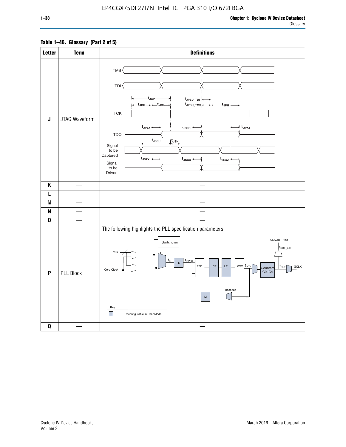### **Table 1–46. Glossary (Part 2 of 5)**

| <b>Letter</b>             | <b>Term</b>      | <b>Definitions</b>                                                                                                                                                                                                                                                                                                                                                                                                                                          |
|---------------------------|------------------|-------------------------------------------------------------------------------------------------------------------------------------------------------------------------------------------------------------------------------------------------------------------------------------------------------------------------------------------------------------------------------------------------------------------------------------------------------------|
| $\mathsf J$               | JTAG Waveform    | TMS<br><b>TDI</b><br>– t <sub>JCP</sub><br>tJPSU_TDI:<br>t <sub>JPSU_TMS</sub><br>t <sub>JPH</sub><br>${\sf TCK}$<br>t <sub>JPZX</sub> :<br>$t_{\text{JPCO}}$<br>$\star$ t <sub>JPXZ</sub><br><b>TDO</b><br>t <sub>JSSU</sub><br>$\overline{t}_{\mathsf{JSH}}$<br>Signal<br>to be<br>Captured<br>$t_{\text{JSZX}}$<br>$t_{\text{JSCO}}$<br>$t_{JSXZ}$<br>Signal<br>to be<br>Driven                                                                          |
| K                         |                  |                                                                                                                                                                                                                                                                                                                                                                                                                                                             |
| L                         |                  |                                                                                                                                                                                                                                                                                                                                                                                                                                                             |
| M                         |                  |                                                                                                                                                                                                                                                                                                                                                                                                                                                             |
| N                         |                  |                                                                                                                                                                                                                                                                                                                                                                                                                                                             |
| $\pmb{0}$                 |                  |                                                                                                                                                                                                                                                                                                                                                                                                                                                             |
| $\boldsymbol{\mathsf{P}}$ | <b>PLL Block</b> | The following highlights the PLL specification parameters:<br><b>CLKOUT Pins</b><br>Switchover<br>$f_{\text{OUT\_EXT}}$<br>$CLK -$<br>$f_{IN}$<br>fINPFD<br>$\overline{N}$<br>PFD<br>$\mathsf{LF}% _{0}\left( t\right) \equiv\mathsf{LF}_{0}\left( t\right)$<br>$vco$ $ f_{VCO} $<br>$\mathsf{CP}$<br><b>GCLK</b><br>$f_{\text{OUT}}$<br>Counters<br>Core Clock<br>CO., C4<br>Phase tap<br>${\sf M}$<br>Key<br>$\mathcal{L}$<br>Reconfigurable in User Mode |
| $\pmb{0}$                 |                  | $\overline{\phantom{a}}$                                                                                                                                                                                                                                                                                                                                                                                                                                    |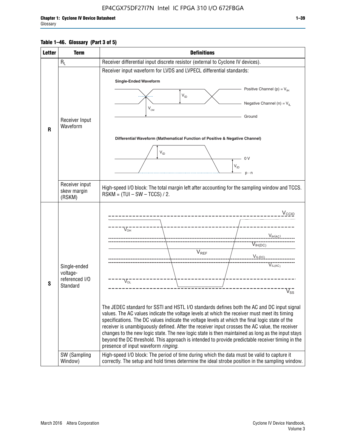### **Table 1–46. Glossary (Part 3 of 5)**

| <b>Letter</b> | <b>Term</b>                                                            | <b>Definitions</b>                                                                                                                                                                                                                                                                                                                                                                                                                                                                                                                                                                                                                                                                                                                                                                                                                                                                                                      |
|---------------|------------------------------------------------------------------------|-------------------------------------------------------------------------------------------------------------------------------------------------------------------------------------------------------------------------------------------------------------------------------------------------------------------------------------------------------------------------------------------------------------------------------------------------------------------------------------------------------------------------------------------------------------------------------------------------------------------------------------------------------------------------------------------------------------------------------------------------------------------------------------------------------------------------------------------------------------------------------------------------------------------------|
|               | $R_L$                                                                  | Receiver differential input discrete resistor (external to Cyclone IV devices).                                                                                                                                                                                                                                                                                                                                                                                                                                                                                                                                                                                                                                                                                                                                                                                                                                         |
|               |                                                                        | Receiver input waveform for LVDS and LVPECL differential standards:                                                                                                                                                                                                                                                                                                                                                                                                                                                                                                                                                                                                                                                                                                                                                                                                                                                     |
|               |                                                                        | <b>Single-Ended Waveform</b>                                                                                                                                                                                                                                                                                                                                                                                                                                                                                                                                                                                                                                                                                                                                                                                                                                                                                            |
|               |                                                                        | Positive Channel (p) = $V_{\text{H}}$                                                                                                                                                                                                                                                                                                                                                                                                                                                                                                                                                                                                                                                                                                                                                                                                                                                                                   |
|               |                                                                        | $V_{ID}$                                                                                                                                                                                                                                                                                                                                                                                                                                                                                                                                                                                                                                                                                                                                                                                                                                                                                                                |
|               |                                                                        | Negative Channel (n) = $V_{\parallel}$<br>$V_{CM}$                                                                                                                                                                                                                                                                                                                                                                                                                                                                                                                                                                                                                                                                                                                                                                                                                                                                      |
|               | Receiver Input                                                         | Ground                                                                                                                                                                                                                                                                                                                                                                                                                                                                                                                                                                                                                                                                                                                                                                                                                                                                                                                  |
| $\mathbf{R}$  | Waveform                                                               |                                                                                                                                                                                                                                                                                                                                                                                                                                                                                                                                                                                                                                                                                                                                                                                                                                                                                                                         |
|               |                                                                        | Differential Waveform (Mathematical Function of Positive & Negative Channel)                                                                                                                                                                                                                                                                                                                                                                                                                                                                                                                                                                                                                                                                                                                                                                                                                                            |
|               |                                                                        |                                                                                                                                                                                                                                                                                                                                                                                                                                                                                                                                                                                                                                                                                                                                                                                                                                                                                                                         |
|               |                                                                        | $V_{ID}$<br>0 <sup>V</sup>                                                                                                                                                                                                                                                                                                                                                                                                                                                                                                                                                                                                                                                                                                                                                                                                                                                                                              |
|               |                                                                        | $V_{ID}$                                                                                                                                                                                                                                                                                                                                                                                                                                                                                                                                                                                                                                                                                                                                                                                                                                                                                                                |
|               |                                                                        | $p - n$                                                                                                                                                                                                                                                                                                                                                                                                                                                                                                                                                                                                                                                                                                                                                                                                                                                                                                                 |
|               | Receiver input<br>skew margin                                          | High-speed I/O block: The total margin left after accounting for the sampling window and TCCS.                                                                                                                                                                                                                                                                                                                                                                                                                                                                                                                                                                                                                                                                                                                                                                                                                          |
|               | (RSKM)                                                                 | $RSKM = (TUI - SW - TCCS) / 2.$                                                                                                                                                                                                                                                                                                                                                                                                                                                                                                                                                                                                                                                                                                                                                                                                                                                                                         |
| S             | Single-ended<br>voltage-<br>referenced I/O<br>Standard<br>SW (Sampling | $V_{CCIO}$<br>$V_{\text{\tiny OH}}^-$<br>V <sub>IH</sub> (AC)<br>$V_{IH(DC)}$<br>V <sub>REF</sub><br>$V_{I L (DC)}$<br>$\overline{V}_{IL(AC)}$<br>$V_{OL}$<br>$V_{ss}$<br>The JEDEC standard for SSTI and HSTL I/O standards defines both the AC and DC input signal<br>values. The AC values indicate the voltage levels at which the receiver must meet its timing<br>specifications. The DC values indicate the voltage levels at which the final logic state of the<br>receiver is unambiguously defined. After the receiver input crosses the AC value, the receiver<br>changes to the new logic state. The new logic state is then maintained as long as the input stays<br>beyond the DC threshold. This approach is intended to provide predictable receiver timing in the<br>presence of input waveform ringing.<br>High-speed I/O block: The period of time during which the data must be valid to capture it |
|               | Window)                                                                | correctly. The setup and hold times determine the ideal strobe position in the sampling window.                                                                                                                                                                                                                                                                                                                                                                                                                                                                                                                                                                                                                                                                                                                                                                                                                         |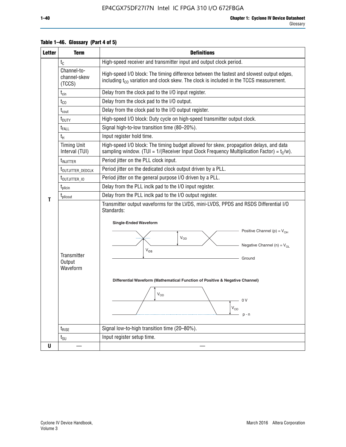| <b>Letter</b> | <b>Term</b>                              | <b>Definitions</b>                                                                                                                                                                                                                                                                                                                                              |  |  |  |  |  |  |
|---------------|------------------------------------------|-----------------------------------------------------------------------------------------------------------------------------------------------------------------------------------------------------------------------------------------------------------------------------------------------------------------------------------------------------------------|--|--|--|--|--|--|
|               | $t_{\rm C}$                              | High-speed receiver and transmitter input and output clock period.                                                                                                                                                                                                                                                                                              |  |  |  |  |  |  |
|               | Channel-to-<br>channel-skew<br>(TCCS)    | High-speed I/O block: The timing difference between the fastest and slowest output edges,<br>including $t_{C0}$ variation and clock skew. The clock is included in the TCCS measurement.                                                                                                                                                                        |  |  |  |  |  |  |
|               | $t_{\text{cin}}$                         | Delay from the clock pad to the I/O input register.                                                                                                                                                                                                                                                                                                             |  |  |  |  |  |  |
|               | $t_{CO}$                                 | Delay from the clock pad to the I/O output.                                                                                                                                                                                                                                                                                                                     |  |  |  |  |  |  |
|               | $t_{\rm cout}$                           | Delay from the clock pad to the I/O output register.                                                                                                                                                                                                                                                                                                            |  |  |  |  |  |  |
|               | $t_{\text{DUTY}}$                        | High-speed I/O block: Duty cycle on high-speed transmitter output clock.                                                                                                                                                                                                                                                                                        |  |  |  |  |  |  |
|               | t <sub>FALL</sub>                        | Signal high-to-low transition time (80-20%).                                                                                                                                                                                                                                                                                                                    |  |  |  |  |  |  |
|               | $t_{H}$                                  | Input register hold time.                                                                                                                                                                                                                                                                                                                                       |  |  |  |  |  |  |
|               | <b>Timing Unit</b><br>Interval (TUI)     | High-speed I/O block: The timing budget allowed for skew, propagation delays, and data<br>sampling window. (TUI = $1/($ Receiver Input Clock Frequency Multiplication Factor) = $tC/w$ ).                                                                                                                                                                       |  |  |  |  |  |  |
|               | t <sub>INJITTER</sub>                    | Period jitter on the PLL clock input.                                                                                                                                                                                                                                                                                                                           |  |  |  |  |  |  |
|               | t <sub>outjitter_dedclk</sub>            | Period jitter on the dedicated clock output driven by a PLL.                                                                                                                                                                                                                                                                                                    |  |  |  |  |  |  |
|               | t <sub>outjitter_io</sub>                | Period jitter on the general purpose I/O driven by a PLL.                                                                                                                                                                                                                                                                                                       |  |  |  |  |  |  |
|               | $t_{\text{pllcin}}$                      | Delay from the PLL inclk pad to the I/O input register.                                                                                                                                                                                                                                                                                                         |  |  |  |  |  |  |
| T             | t <sub>plicout</sub>                     | Delay from the PLL inclk pad to the I/O output register.                                                                                                                                                                                                                                                                                                        |  |  |  |  |  |  |
|               | <b>Transmitter</b><br>Output<br>Waveform | Transmitter output waveforms for the LVDS, mini-LVDS, PPDS and RSDS Differential I/O<br>Standards:<br><b>Single-Ended Waveform</b><br>Positive Channel (p) = $V_{OH}$<br>VOD<br>Negative Channel (n) = $V_{OL}$<br>$V_{OS}$<br>Ground<br>Differential Waveform (Mathematical Function of Positive & Negative Channel)<br>$V_{OD}$<br>n v<br>$V_{OD}$<br>$p - n$ |  |  |  |  |  |  |
|               | $t_{\text{RISE}}$                        | Signal low-to-high transition time (20-80%).                                                                                                                                                                                                                                                                                                                    |  |  |  |  |  |  |
|               | $t_{\scriptstyle\text{SU}}$              | Input register setup time.                                                                                                                                                                                                                                                                                                                                      |  |  |  |  |  |  |
| U             |                                          |                                                                                                                                                                                                                                                                                                                                                                 |  |  |  |  |  |  |

#### **Table 1–46. Glossary (Part 4 of 5)**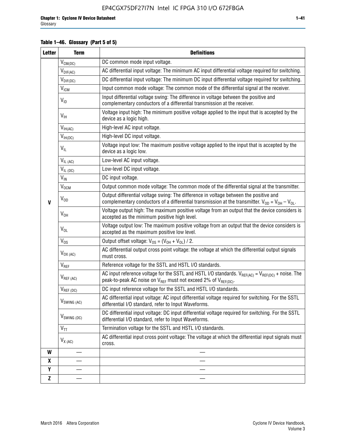### **Table 1–46. Glossary (Part 5 of 5)**

| <b>Letter</b> | <b>Term</b>             | <b>Definitions</b>                                                                                                                                                                                |
|---------------|-------------------------|---------------------------------------------------------------------------------------------------------------------------------------------------------------------------------------------------|
|               | $V_{CM(DC)}$            | DC common mode input voltage.                                                                                                                                                                     |
|               | $V_{DIF(AC)}$           | AC differential input voltage: The minimum AC input differential voltage required for switching.                                                                                                  |
|               | $V_{DIF(DC)}$           | DC differential input voltage: The minimum DC input differential voltage required for switching.                                                                                                  |
|               | <b>V<sub>ICM</sub></b>  | Input common mode voltage: The common mode of the differential signal at the receiver.                                                                                                            |
|               | $V_{ID}$                | Input differential voltage swing: The difference in voltage between the positive and<br>complementary conductors of a differential transmission at the receiver.                                  |
|               | $V_{\text{IH}}$         | Voltage input high: The minimum positive voltage applied to the input that is accepted by the<br>device as a logic high.                                                                          |
|               | $V_{IH(AC)}$            | High-level AC input voltage.                                                                                                                                                                      |
|               | $V_{IH(DC)}$            | High-level DC input voltage.                                                                                                                                                                      |
|               | $V_{IL}$                | Voltage input low: The maximum positive voltage applied to the input that is accepted by the<br>device as a logic low.                                                                            |
|               | $V_{IL(AC)}$            | Low-level AC input voltage.                                                                                                                                                                       |
|               | $V_{IL(DC)}$            | Low-level DC input voltage.                                                                                                                                                                       |
|               | $V_{\text{IN}}$         | DC input voltage.                                                                                                                                                                                 |
|               | $\rm V_{\rm OCM}$       | Output common mode voltage: The common mode of the differential signal at the transmitter.                                                                                                        |
| $\mathbf{V}$  | $V_{OD}$                | Output differential voltage swing: The difference in voltage between the positive and<br>complementary conductors of a differential transmission at the transmitter. $V_{OD} = V_{OH} - V_{OL}$ . |
|               | $V_{OH}$                | Voltage output high: The maximum positive voltage from an output that the device considers is<br>accepted as the minimum positive high level.                                                     |
|               | $V_{OL}$                | Voltage output low: The maximum positive voltage from an output that the device considers is<br>accepted as the maximum positive low level.                                                       |
|               | $V_{OS}$                | Output offset voltage: $V_{OS} = (V_{OH} + V_{OL}) / 2$ .                                                                                                                                         |
|               | $V_{OX (AC)}$           | AC differential output cross point voltage: the voltage at which the differential output signals<br>must cross.                                                                                   |
|               | V <sub>REF</sub>        | Reference voltage for the SSTL and HSTL I/O standards.                                                                                                                                            |
|               | $V_{REF\,(AC)}$         | AC input reference voltage for the SSTL and HSTL I/O standards. $V_{REF(AC)} = V_{REF(DC)} +$ noise. The<br>peak-to-peak AC noise on $V_{REF}$ must not exceed 2% of $V_{REF(DC)}$ .              |
|               | $V_{REF(DC)}$           | DC input reference voltage for the SSTL and HSTL I/O standards.                                                                                                                                   |
|               | $V_{\text{SWING (AC)}}$ | AC differential input voltage: AC input differential voltage required for switching. For the SSTL<br>differential I/O standard, refer to Input Waveforms.                                         |
|               | $V_{SWING(DC)}$         | DC differential input voltage: DC input differential voltage required for switching. For the SSTL<br>differential I/O standard, refer to Input Waveforms.                                         |
|               | $V_{TT}$                | Termination voltage for the SSTL and HSTL I/O standards.                                                                                                                                          |
|               | $V_{X(AC)}$             | AC differential input cross point voltage: The voltage at which the differential input signals must<br>cross.                                                                                     |
| W             |                         |                                                                                                                                                                                                   |
| X             |                         |                                                                                                                                                                                                   |
| Y             |                         |                                                                                                                                                                                                   |
| $\mathbf{Z}$  |                         |                                                                                                                                                                                                   |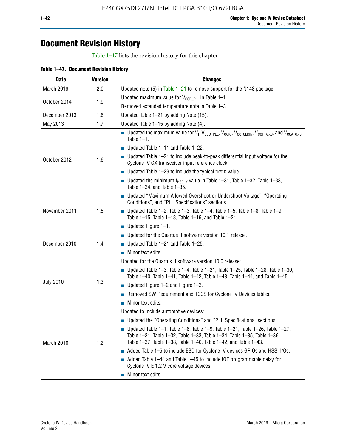# **Document Revision History**

Table 1–47 lists the revision history for this chapter.

| <b>Date</b>      | <b>Version</b> | <b>Changes</b>                                                                                                                                                                                                                            |
|------------------|----------------|-------------------------------------------------------------------------------------------------------------------------------------------------------------------------------------------------------------------------------------------|
| March 2016       | 2.0            | Updated note (5) in Table $1-21$ to remove support for the N148 package.                                                                                                                                                                  |
| October 2014     | 1.9            | Updated maximum value for $V_{CCD, PL}$ in Table 1-1.                                                                                                                                                                                     |
|                  |                | Removed extended temperature note in Table 1-3.                                                                                                                                                                                           |
| December 2013    | 1.8            | Updated Table 1-21 by adding Note (15).                                                                                                                                                                                                   |
| May 2013         | 1.7            | Updated Table 1-15 by adding Note (4).                                                                                                                                                                                                    |
| October 2012     | 1.6            | Dpdated the maximum value for $V_1$ , $V_{CCD\_PLL}$ , $V_{CC10}$ , $V_{CC\_CLKIN}$ , $V_{CCH\_GXB}$ , and $V_{CCA\_GXB}$<br>Table $1-1$ .                                                                                                |
|                  |                | $\blacksquare$ Updated Table 1-11 and Table 1-22.                                                                                                                                                                                         |
|                  |                | $\blacksquare$ Updated Table 1-21 to include peak-to-peak differential input voltage for the<br>Cyclone IV GX transceiver input reference clock.                                                                                          |
|                  |                | $\blacksquare$ Updated Table 1-29 to include the typical DCLK value.                                                                                                                                                                      |
|                  |                | <b>Updated the minimum f<sub>HSCLK</sub></b> value in Table 1-31, Table 1-32, Table 1-33,<br>Table 1-34, and Table 1-35.                                                                                                                  |
| November 2011    | 1.5            | • Updated "Maximum Allowed Overshoot or Undershoot Voltage", "Operating<br>Conditions", and "PLL Specifications" sections.                                                                                                                |
|                  |                | Updated Table 1-2, Table 1-3, Table 1-4, Table 1-5, Table 1-8, Table 1-9,<br>Table 1-15, Table 1-18, Table 1-19, and Table 1-21.                                                                                                          |
|                  |                | ■ Updated Figure $1-1$ .                                                                                                                                                                                                                  |
| December 2010    | 1.4            | • Updated for the Quartus II software version 10.1 release.                                                                                                                                                                               |
|                  |                | $\blacksquare$ Updated Table 1-21 and Table 1-25.                                                                                                                                                                                         |
|                  |                | $\blacksquare$ Minor text edits.                                                                                                                                                                                                          |
|                  | 1.3            | Updated for the Quartus II software version 10.0 release:                                                                                                                                                                                 |
| <b>July 2010</b> |                | Updated Table 1-3, Table 1-4, Table 1-21, Table 1-25, Table 1-28, Table 1-30,<br>Table 1-40, Table 1-41, Table 1-42, Table 1-43, Table 1-44, and Table 1-45.                                                                              |
|                  |                | ■ Updated Figure $1-2$ and Figure $1-3$ .                                                                                                                                                                                                 |
|                  |                | Removed SW Requirement and TCCS for Cyclone IV Devices tables.                                                                                                                                                                            |
|                  |                | $\blacksquare$ Minor text edits.                                                                                                                                                                                                          |
|                  | 1.2            | Updated to include automotive devices:                                                                                                                                                                                                    |
| March 2010       |                | • Updated the "Operating Conditions" and "PLL Specifications" sections.                                                                                                                                                                   |
|                  |                | $\blacksquare$ Updated Table 1-1, Table 1-8, Table 1-9, Table 1-21, Table 1-26, Table 1-27,<br>Table 1-31, Table 1-32, Table 1-33, Table 1-34, Table 1-35, Table 1-36,<br>Table 1-37, Table 1-38, Table 1-40, Table 1-42, and Table 1-43. |
|                  |                | Added Table 1-5 to include ESD for Cyclone IV devices GPIOs and HSSI I/Os.                                                                                                                                                                |
|                  |                | Added Table 1-44 and Table 1-45 to include IOE programmable delay for<br>Cyclone IV E 1.2 V core voltage devices.                                                                                                                         |
|                  |                | Minor text edits.                                                                                                                                                                                                                         |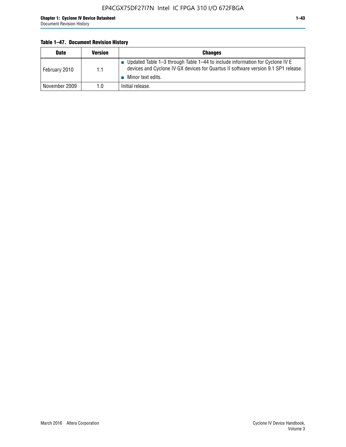### **Table 1–47. Document Revision History**

| <b>Date</b>   | <b>Version</b> | <b>Changes</b>                                                                                                                                                                          |
|---------------|----------------|-----------------------------------------------------------------------------------------------------------------------------------------------------------------------------------------|
| February 2010 | 1.1            | Updated Table 1-3 through Table 1-44 to include information for Cyclone IV E<br>devices and Cyclone IV GX devices for Quartus II software version 9.1 SP1 release.<br>Minor text edits. |
| November 2009 | 1.0            | Initial release.                                                                                                                                                                        |